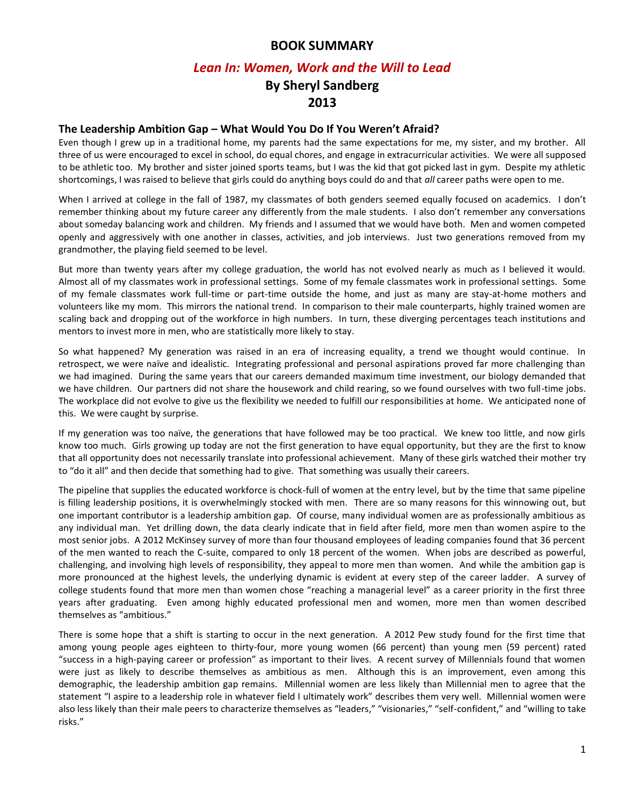# **BOOK SUMMARY**

# *Lean In: Women, Work and the Will to Lead*

# **By Sheryl Sandberg 2013**

#### **The Leadership Ambition Gap – What Would You Do If You Weren't Afraid?**

Even though I grew up in a traditional home, my parents had the same expectations for me, my sister, and my brother. All three of us were encouraged to excel in school, do equal chores, and engage in extracurricular activities. We were all supposed to be athletic too. My brother and sister joined sports teams, but I was the kid that got picked last in gym. Despite my athletic shortcomings, I was raised to believe that girls could do anything boys could do and that *all* career paths were open to me.

When I arrived at college in the fall of 1987, my classmates of both genders seemed equally focused on academics. I don't remember thinking about my future career any differently from the male students. I also don't remember any conversations about someday balancing work and children. My friends and I assumed that we would have both. Men and women competed openly and aggressively with one another in classes, activities, and job interviews. Just two generations removed from my grandmother, the playing field seemed to be level.

But more than twenty years after my college graduation, the world has not evolved nearly as much as I believed it would. Almost all of my classmates work in professional settings. Some of my female classmates work in professional settings. Some of my female classmates work full-time or part-time outside the home, and just as many are stay-at-home mothers and volunteers like my mom. This mirrors the national trend. In comparison to their male counterparts, highly trained women are scaling back and dropping out of the workforce in high numbers. In turn, these diverging percentages teach institutions and mentors to invest more in men, who are statistically more likely to stay.

So what happened? My generation was raised in an era of increasing equality, a trend we thought would continue. In retrospect, we were naïve and idealistic. Integrating professional and personal aspirations proved far more challenging than we had imagined. During the same years that our careers demanded maximum time investment, our biology demanded that we have children. Our partners did not share the housework and child rearing, so we found ourselves with two full-time jobs. The workplace did not evolve to give us the flexibility we needed to fulfill our responsibilities at home. We anticipated none of this. We were caught by surprise.

If my generation was too naïve, the generations that have followed may be too practical. We knew too little, and now girls know too much. Girls growing up today are not the first generation to have equal opportunity, but they are the first to know that all opportunity does not necessarily translate into professional achievement. Many of these girls watched their mother try to "do it all" and then decide that something had to give. That something was usually their careers.

The pipeline that supplies the educated workforce is chock-full of women at the entry level, but by the time that same pipeline is filling leadership positions, it is overwhelmingly stocked with men. There are so many reasons for this winnowing out, but one important contributor is a leadership ambition gap. Of course, many individual women are as professionally ambitious as any individual man. Yet drilling down, the data clearly indicate that in field after field, more men than women aspire to the most senior jobs. A 2012 McKinsey survey of more than four thousand employees of leading companies found that 36 percent of the men wanted to reach the C-suite, compared to only 18 percent of the women. When jobs are described as powerful, challenging, and involving high levels of responsibility, they appeal to more men than women. And while the ambition gap is more pronounced at the highest levels, the underlying dynamic is evident at every step of the career ladder. A survey of college students found that more men than women chose "reaching a managerial level" as a career priority in the first three years after graduating. Even among highly educated professional men and women, more men than women described themselves as "ambitious."

There is some hope that a shift is starting to occur in the next generation. A 2012 Pew study found for the first time that among young people ages eighteen to thirty-four, more young women (66 percent) than young men (59 percent) rated "success in a high-paying career or profession" as important to their lives. A recent survey of Millennials found that women were just as likely to describe themselves as ambitious as men. Although this is an improvement, even among this demographic, the leadership ambition gap remains. Millennial women are less likely than Millennial men to agree that the statement "I aspire to a leadership role in whatever field I ultimately work" describes them very well. Millennial women were also less likely than their male peers to characterize themselves as "leaders," "visionaries," "self-confident," and "willing to take risks."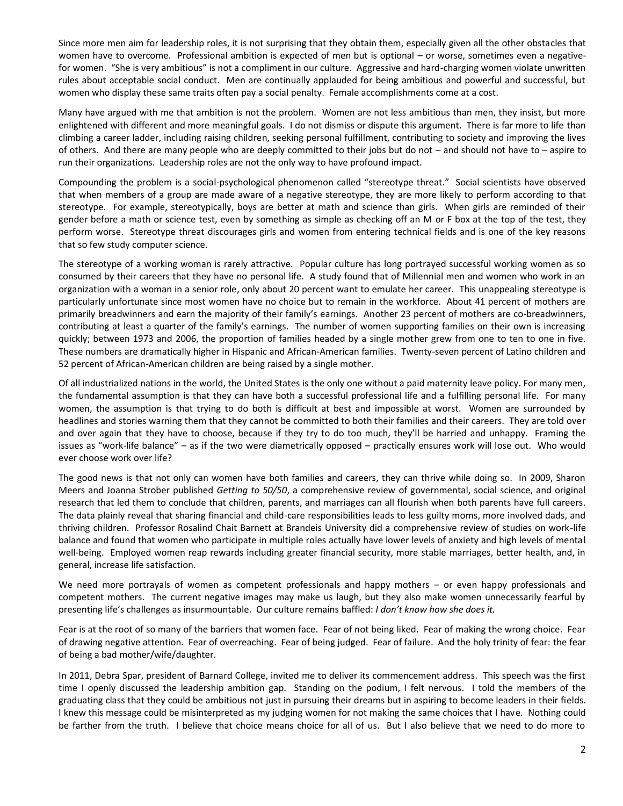Since more men aim for leadership roles, it is not surprising that they obtain them, especially given all the other obstacles that women have to overcome. Professional ambition is expected of men but is optional – or worse, sometimes even a negativefor women. "She is very ambitious" is not a compliment in our culture. Aggressive and hard-charging women violate unwritten rules about acceptable social conduct. Men are continually applauded for being ambitious and powerful and successful, but women who display these same traits often pay a social penalty. Female accomplishments come at a cost.

Many have argued with me that ambition is not the problem. Women are not less ambitious than men, they insist, but more enlightened with different and more meaningful goals. I do not dismiss or dispute this argument. There is far more to life than climbing a career ladder, including raising children, seeking personal fulfillment, contributing to society and improving the lives of others. And there are many people who are deeply committed to their jobs but do not – and should not have to – aspire to run their organizations. Leadership roles are not the only way to have profound impact.

Compounding the problem is a social-psychological phenomenon called "stereotype threat." Social scientists have observed that when members of a group are made aware of a negative stereotype, they are more likely to perform according to that stereotype. For example, stereotypically, boys are better at math and science than girls. When girls are reminded of their gender before a math or science test, even by something as simple as checking off an M or F box at the top of the test, they perform worse. Stereotype threat discourages girls and women from entering technical fields and is one of the key reasons that so few study computer science.

The stereotype of a working woman is rarely attractive. Popular culture has long portrayed successful working women as so consumed by their careers that they have no personal life. A study found that of Millennial men and women who work in an organization with a woman in a senior role, only about 20 percent want to emulate her career. This unappealing stereotype is particularly unfortunate since most women have no choice but to remain in the workforce. About 41 percent of mothers are primarily breadwinners and earn the majority of their family's earnings. Another 23 percent of mothers are co-breadwinners, contributing at least a quarter of the family's earnings. The number of women supporting families on their own is increasing quickly; between 1973 and 2006, the proportion of families headed by a single mother grew from one to ten to one in five. These numbers are dramatically higher in Hispanic and African-American families. Twenty-seven percent of Latino children and 52 percent of African-American children are being raised by a single mother.

Of all industrialized nations in the world, the United States is the only one without a paid maternity leave policy. For many men, the fundamental assumption is that they can have both a successful professional life and a fulfilling personal life. For many women, the assumption is that trying to do both is difficult at best and impossible at worst. Women are surrounded by headlines and stories warning them that they cannot be committed to both their families and their careers. They are told over and over again that they have to choose, because if they try to do too much, they'll be harried and unhappy. Framing the issues as "work-life balance" – as if the two were diametrically opposed – practically ensures work will lose out. Who would ever choose work over life?

The good news is that not only can women have both families and careers, they can thrive while doing so. In 2009, Sharon Meers and Joanna Strober published *Getting to 50/50*, a comprehensive review of governmental, social science, and original research that led them to conclude that children, parents, and marriages can all flourish when both parents have full careers. The data plainly reveal that sharing financial and child-care responsibilities leads to less guilty moms, more involved dads, and thriving children. Professor Rosalind Chait Barnett at Brandeis University did a comprehensive review of studies on work-life balance and found that women who participate in multiple roles actually have lower levels of anxiety and high levels of mental well-being. Employed women reap rewards including greater financial security, more stable marriages, better health, and, in general, increase life satisfaction.

We need more portrayals of women as competent professionals and happy mothers – or even happy professionals and competent mothers. The current negative images may make us laugh, but they also make women unnecessarily fearful by presenting life's challenges as insurmountable. Our culture remains baffled: *I don't know how she does it.*

Fear is at the root of so many of the barriers that women face. Fear of not being liked. Fear of making the wrong choice. Fear of drawing negative attention. Fear of overreaching. Fear of being judged. Fear of failure. And the holy trinity of fear: the fear of being a bad mother/wife/daughter.

In 2011, Debra Spar, president of Barnard College, invited me to deliver its commencement address. This speech was the first time I openly discussed the leadership ambition gap. Standing on the podium, I felt nervous. I told the members of the graduating class that they could be ambitious not just in pursuing their dreams but in aspiring to become leaders in their fields. I knew this message could be misinterpreted as my judging women for not making the same choices that I have. Nothing could be farther from the truth. I believe that choice means choice for all of us. But I also believe that we need to do more to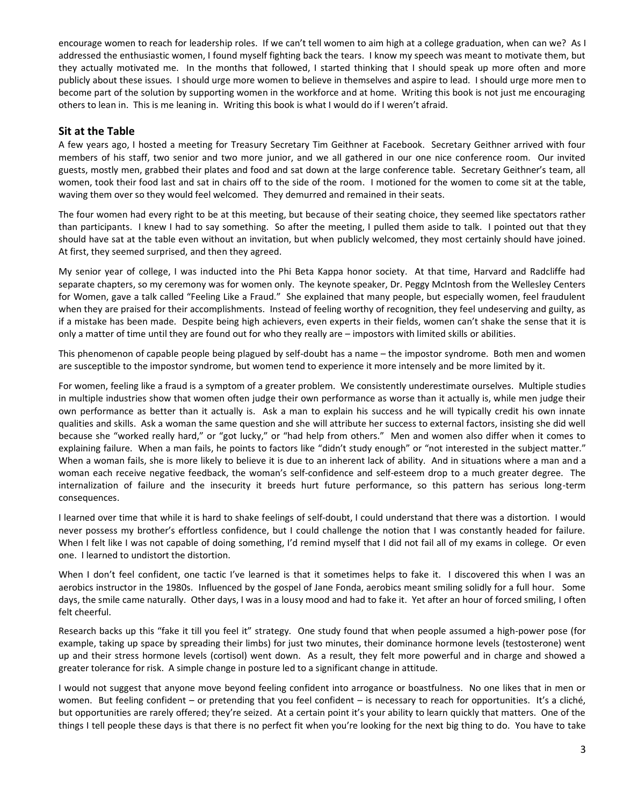encourage women to reach for leadership roles. If we can't tell women to aim high at a college graduation, when can we? As I addressed the enthusiastic women, I found myself fighting back the tears. I know my speech was meant to motivate them, but they actually motivated me. In the months that followed, I started thinking that I should speak up more often and more publicly about these issues. I should urge more women to believe in themselves and aspire to lead. I should urge more men to become part of the solution by supporting women in the workforce and at home. Writing this book is not just me encouraging others to lean in. This is me leaning in. Writing this book is what I would do if I weren't afraid.

#### **Sit at the Table**

A few years ago, I hosted a meeting for Treasury Secretary Tim Geithner at Facebook. Secretary Geithner arrived with four members of his staff, two senior and two more junior, and we all gathered in our one nice conference room. Our invited guests, mostly men, grabbed their plates and food and sat down at the large conference table. Secretary Geithner's team, all women, took their food last and sat in chairs off to the side of the room. I motioned for the women to come sit at the table, waving them over so they would feel welcomed. They demurred and remained in their seats.

The four women had every right to be at this meeting, but because of their seating choice, they seemed like spectators rather than participants. I knew I had to say something. So after the meeting, I pulled them aside to talk. I pointed out that they should have sat at the table even without an invitation, but when publicly welcomed, they most certainly should have joined. At first, they seemed surprised, and then they agreed.

My senior year of college, I was inducted into the Phi Beta Kappa honor society. At that time, Harvard and Radcliffe had separate chapters, so my ceremony was for women only. The keynote speaker, Dr. Peggy McIntosh from the Wellesley Centers for Women, gave a talk called "Feeling Like a Fraud." She explained that many people, but especially women, feel fraudulent when they are praised for their accomplishments. Instead of feeling worthy of recognition, they feel undeserving and guilty, as if a mistake has been made. Despite being high achievers, even experts in their fields, women can't shake the sense that it is only a matter of time until they are found out for who they really are – impostors with limited skills or abilities.

This phenomenon of capable people being plagued by self-doubt has a name – the impostor syndrome. Both men and women are susceptible to the impostor syndrome, but women tend to experience it more intensely and be more limited by it.

For women, feeling like a fraud is a symptom of a greater problem. We consistently underestimate ourselves. Multiple studies in multiple industries show that women often judge their own performance as worse than it actually is, while men judge their own performance as better than it actually is. Ask a man to explain his success and he will typically credit his own innate qualities and skills. Ask a woman the same question and she will attribute her success to external factors, insisting she did well because she "worked really hard," or "got lucky," or "had help from others." Men and women also differ when it comes to explaining failure. When a man fails, he points to factors like "didn't study enough" or "not interested in the subject matter." When a woman fails, she is more likely to believe it is due to an inherent lack of ability. And in situations where a man and a woman each receive negative feedback, the woman's self-confidence and self-esteem drop to a much greater degree. The internalization of failure and the insecurity it breeds hurt future performance, so this pattern has serious long-term consequences.

I learned over time that while it is hard to shake feelings of self-doubt, I could understand that there was a distortion. I would never possess my brother's effortless confidence, but I could challenge the notion that I was constantly headed for failure. When I felt like I was not capable of doing something, I'd remind myself that I did not fail all of my exams in college. Or even one. I learned to undistort the distortion.

When I don't feel confident, one tactic I've learned is that it sometimes helps to fake it. I discovered this when I was an aerobics instructor in the 1980s. Influenced by the gospel of Jane Fonda, aerobics meant smiling solidly for a full hour. Some days, the smile came naturally. Other days, I was in a lousy mood and had to fake it. Yet after an hour of forced smiling, I often felt cheerful.

Research backs up this "fake it till you feel it" strategy. One study found that when people assumed a high-power pose (for example, taking up space by spreading their limbs) for just two minutes, their dominance hormone levels (testosterone) went up and their stress hormone levels (cortisol) went down. As a result, they felt more powerful and in charge and showed a greater tolerance for risk. A simple change in posture led to a significant change in attitude.

I would not suggest that anyone move beyond feeling confident into arrogance or boastfulness. No one likes that in men or women. But feeling confident – or pretending that you feel confident – is necessary to reach for opportunities. It's a cliché, but opportunities are rarely offered; they're seized. At a certain point it's your ability to learn quickly that matters. One of the things I tell people these days is that there is no perfect fit when you're looking for the next big thing to do. You have to take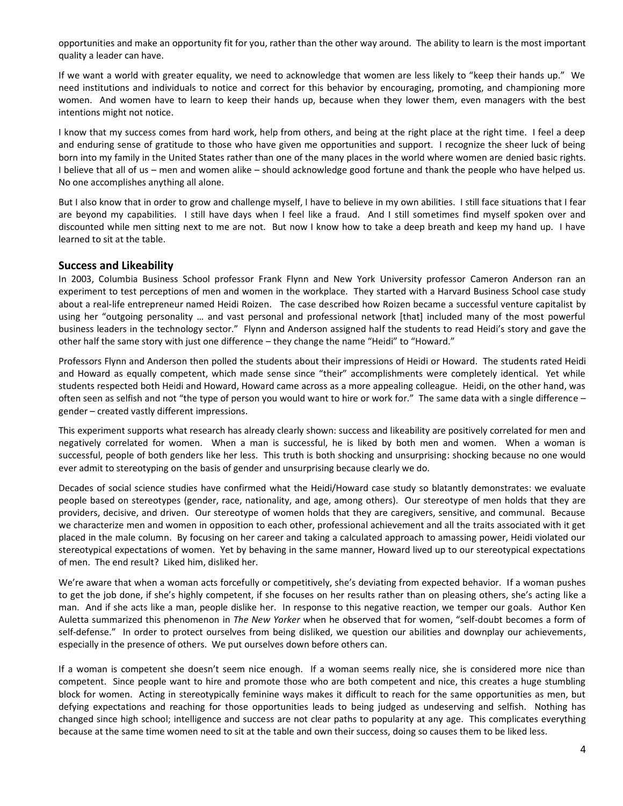opportunities and make an opportunity fit for you, rather than the other way around. The ability to learn is the most important quality a leader can have.

If we want a world with greater equality, we need to acknowledge that women are less likely to "keep their hands up." We need institutions and individuals to notice and correct for this behavior by encouraging, promoting, and championing more women. And women have to learn to keep their hands up, because when they lower them, even managers with the best intentions might not notice.

I know that my success comes from hard work, help from others, and being at the right place at the right time. I feel a deep and enduring sense of gratitude to those who have given me opportunities and support. I recognize the sheer luck of being born into my family in the United States rather than one of the many places in the world where women are denied basic rights. I believe that all of us – men and women alike – should acknowledge good fortune and thank the people who have helped us. No one accomplishes anything all alone.

But I also know that in order to grow and challenge myself, I have to believe in my own abilities. I still face situations that I fear are beyond my capabilities. I still have days when I feel like a fraud. And I still sometimes find myself spoken over and discounted while men sitting next to me are not. But now I know how to take a deep breath and keep my hand up. I have learned to sit at the table.

#### **Success and Likeability**

In 2003, Columbia Business School professor Frank Flynn and New York University professor Cameron Anderson ran an experiment to test perceptions of men and women in the workplace. They started with a Harvard Business School case study about a real-life entrepreneur named Heidi Roizen. The case described how Roizen became a successful venture capitalist by using her "outgoing personality … and vast personal and professional network [that] included many of the most powerful business leaders in the technology sector." Flynn and Anderson assigned half the students to read Heidi's story and gave the other half the same story with just one difference – they change the name "Heidi" to "Howard."

Professors Flynn and Anderson then polled the students about their impressions of Heidi or Howard. The students rated Heidi and Howard as equally competent, which made sense since "their" accomplishments were completely identical. Yet while students respected both Heidi and Howard, Howard came across as a more appealing colleague. Heidi, on the other hand, was often seen as selfish and not "the type of person you would want to hire or work for." The same data with a single difference – gender – created vastly different impressions.

This experiment supports what research has already clearly shown: success and likeability are positively correlated for men and negatively correlated for women. When a man is successful, he is liked by both men and women. When a woman is successful, people of both genders like her less. This truth is both shocking and unsurprising: shocking because no one would ever admit to stereotyping on the basis of gender and unsurprising because clearly we do.

Decades of social science studies have confirmed what the Heidi/Howard case study so blatantly demonstrates: we evaluate people based on stereotypes (gender, race, nationality, and age, among others). Our stereotype of men holds that they are providers, decisive, and driven. Our stereotype of women holds that they are caregivers, sensitive, and communal. Because we characterize men and women in opposition to each other, professional achievement and all the traits associated with it get placed in the male column. By focusing on her career and taking a calculated approach to amassing power, Heidi violated our stereotypical expectations of women. Yet by behaving in the same manner, Howard lived up to our stereotypical expectations of men. The end result? Liked him, disliked her.

We're aware that when a woman acts forcefully or competitively, she's deviating from expected behavior. If a woman pushes to get the job done, if she's highly competent, if she focuses on her results rather than on pleasing others, she's acting like a man. And if she acts like a man, people dislike her. In response to this negative reaction, we temper our goals. Author Ken Auletta summarized this phenomenon in *The New Yorker* when he observed that for women, "self-doubt becomes a form of self-defense." In order to protect ourselves from being disliked, we question our abilities and downplay our achievements, especially in the presence of others. We put ourselves down before others can.

If a woman is competent she doesn't seem nice enough. If a woman seems really nice, she is considered more nice than competent. Since people want to hire and promote those who are both competent and nice, this creates a huge stumbling block for women. Acting in stereotypically feminine ways makes it difficult to reach for the same opportunities as men, but defying expectations and reaching for those opportunities leads to being judged as undeserving and selfish. Nothing has changed since high school; intelligence and success are not clear paths to popularity at any age. This complicates everything because at the same time women need to sit at the table and own their success, doing so causes them to be liked less.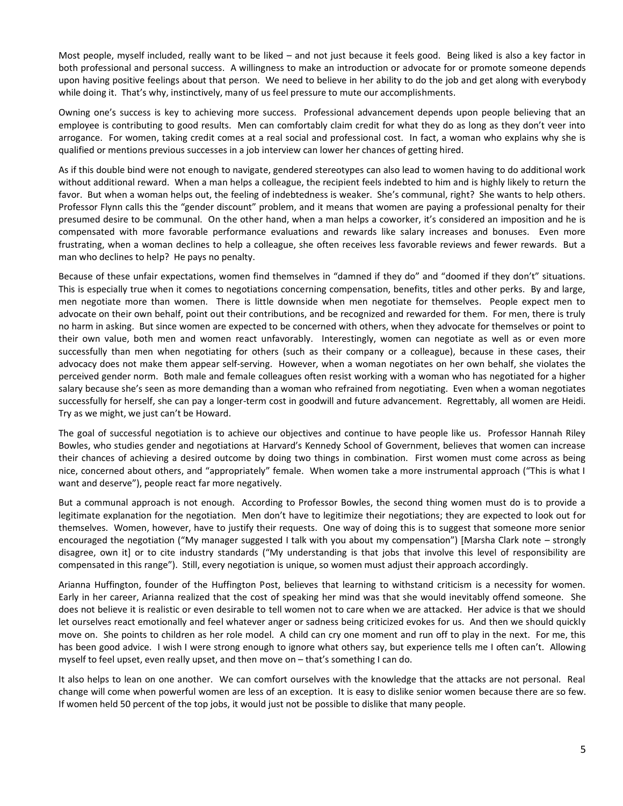Most people, myself included, really want to be liked – and not just because it feels good. Being liked is also a key factor in both professional and personal success. A willingness to make an introduction or advocate for or promote someone depends upon having positive feelings about that person. We need to believe in her ability to do the job and get along with everybody while doing it. That's why, instinctively, many of us feel pressure to mute our accomplishments.

Owning one's success is key to achieving more success. Professional advancement depends upon people believing that an employee is contributing to good results. Men can comfortably claim credit for what they do as long as they don't veer into arrogance. For women, taking credit comes at a real social and professional cost. In fact, a woman who explains why she is qualified or mentions previous successes in a job interview can lower her chances of getting hired.

As if this double bind were not enough to navigate, gendered stereotypes can also lead to women having to do additional work without additional reward. When a man helps a colleague, the recipient feels indebted to him and is highly likely to return the favor. But when a woman helps out, the feeling of indebtedness is weaker. She's communal, right? She wants to help others. Professor Flynn calls this the "gender discount" problem, and it means that women are paying a professional penalty for their presumed desire to be communal. On the other hand, when a man helps a coworker, it's considered an imposition and he is compensated with more favorable performance evaluations and rewards like salary increases and bonuses. Even more frustrating, when a woman declines to help a colleague, she often receives less favorable reviews and fewer rewards. But a man who declines to help? He pays no penalty.

Because of these unfair expectations, women find themselves in "damned if they do" and "doomed if they don't" situations. This is especially true when it comes to negotiations concerning compensation, benefits, titles and other perks. By and large, men negotiate more than women. There is little downside when men negotiate for themselves. People expect men to advocate on their own behalf, point out their contributions, and be recognized and rewarded for them. For men, there is truly no harm in asking. But since women are expected to be concerned with others, when they advocate for themselves or point to their own value, both men and women react unfavorably. Interestingly, women can negotiate as well as or even more successfully than men when negotiating for others (such as their company or a colleague), because in these cases, their advocacy does not make them appear self-serving. However, when a woman negotiates on her own behalf, she violates the perceived gender norm. Both male and female colleagues often resist working with a woman who has negotiated for a higher salary because she's seen as more demanding than a woman who refrained from negotiating. Even when a woman negotiates successfully for herself, she can pay a longer-term cost in goodwill and future advancement. Regrettably, all women are Heidi. Try as we might, we just can't be Howard.

The goal of successful negotiation is to achieve our objectives and continue to have people like us. Professor Hannah Riley Bowles, who studies gender and negotiations at Harvard's Kennedy School of Government, believes that women can increase their chances of achieving a desired outcome by doing two things in combination. First women must come across as being nice, concerned about others, and "appropriately" female. When women take a more instrumental approach ("This is what I want and deserve"), people react far more negatively.

But a communal approach is not enough. According to Professor Bowles, the second thing women must do is to provide a legitimate explanation for the negotiation. Men don't have to legitimize their negotiations; they are expected to look out for themselves. Women, however, have to justify their requests. One way of doing this is to suggest that someone more senior encouraged the negotiation ("My manager suggested I talk with you about my compensation") [Marsha Clark note – strongly disagree, own it] or to cite industry standards ("My understanding is that jobs that involve this level of responsibility are compensated in this range"). Still, every negotiation is unique, so women must adjust their approach accordingly.

Arianna Huffington, founder of the Huffington Post, believes that learning to withstand criticism is a necessity for women. Early in her career, Arianna realized that the cost of speaking her mind was that she would inevitably offend someone. She does not believe it is realistic or even desirable to tell women not to care when we are attacked. Her advice is that we should let ourselves react emotionally and feel whatever anger or sadness being criticized evokes for us. And then we should quickly move on. She points to children as her role model. A child can cry one moment and run off to play in the next. For me, this has been good advice. I wish I were strong enough to ignore what others say, but experience tells me I often can't. Allowing myself to feel upset, even really upset, and then move on – that's something I can do.

It also helps to lean on one another. We can comfort ourselves with the knowledge that the attacks are not personal. Real change will come when powerful women are less of an exception. It is easy to dislike senior women because there are so few. If women held 50 percent of the top jobs, it would just not be possible to dislike that many people.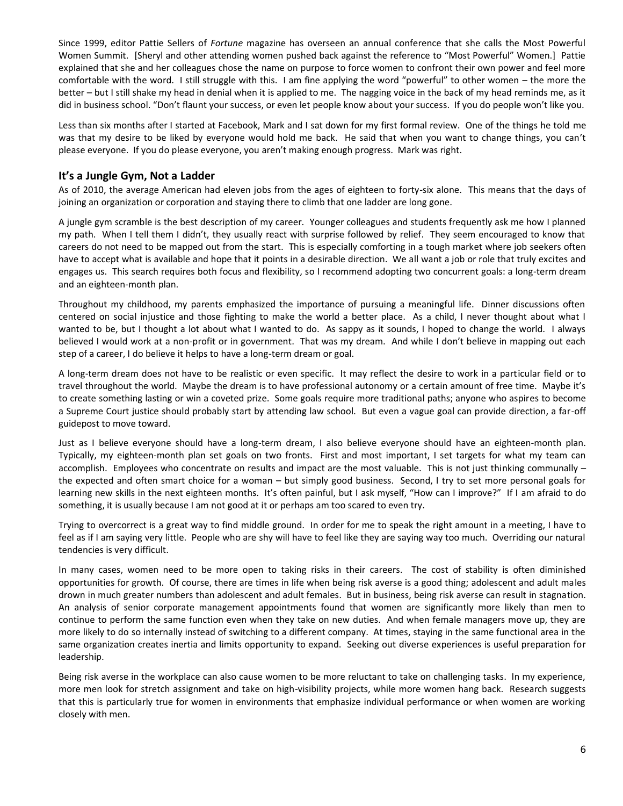Since 1999, editor Pattie Sellers of *Fortune* magazine has overseen an annual conference that she calls the Most Powerful Women Summit. [Sheryl and other attending women pushed back against the reference to "Most Powerful" Women.] Pattie explained that she and her colleagues chose the name on purpose to force women to confront their own power and feel more comfortable with the word. I still struggle with this. I am fine applying the word "powerful" to other women – the more the better – but I still shake my head in denial when it is applied to me. The nagging voice in the back of my head reminds me, as it did in business school. "Don't flaunt your success, or even let people know about your success. If you do people won't like you.

Less than six months after I started at Facebook, Mark and I sat down for my first formal review. One of the things he told me was that my desire to be liked by everyone would hold me back. He said that when you want to change things, you can't please everyone. If you do please everyone, you aren't making enough progress. Mark was right.

# **It's a Jungle Gym, Not a Ladder**

As of 2010, the average American had eleven jobs from the ages of eighteen to forty-six alone. This means that the days of joining an organization or corporation and staying there to climb that one ladder are long gone.

A jungle gym scramble is the best description of my career. Younger colleagues and students frequently ask me how I planned my path. When I tell them I didn't, they usually react with surprise followed by relief. They seem encouraged to know that careers do not need to be mapped out from the start. This is especially comforting in a tough market where job seekers often have to accept what is available and hope that it points in a desirable direction. We all want a job or role that truly excites and engages us. This search requires both focus and flexibility, so I recommend adopting two concurrent goals: a long-term dream and an eighteen-month plan.

Throughout my childhood, my parents emphasized the importance of pursuing a meaningful life. Dinner discussions often centered on social injustice and those fighting to make the world a better place. As a child, I never thought about what I wanted to be, but I thought a lot about what I wanted to do. As sappy as it sounds, I hoped to change the world. I always believed I would work at a non-profit or in government. That was my dream. And while I don't believe in mapping out each step of a career, I do believe it helps to have a long-term dream or goal.

A long-term dream does not have to be realistic or even specific. It may reflect the desire to work in a particular field or to travel throughout the world. Maybe the dream is to have professional autonomy or a certain amount of free time. Maybe it's to create something lasting or win a coveted prize. Some goals require more traditional paths; anyone who aspires to become a Supreme Court justice should probably start by attending law school. But even a vague goal can provide direction, a far-off guidepost to move toward.

Just as I believe everyone should have a long-term dream, I also believe everyone should have an eighteen-month plan. Typically, my eighteen-month plan set goals on two fronts. First and most important, I set targets for what my team can accomplish. Employees who concentrate on results and impact are the most valuable. This is not just thinking communally – the expected and often smart choice for a woman – but simply good business. Second, I try to set more personal goals for learning new skills in the next eighteen months. It's often painful, but I ask myself, "How can I improve?" If I am afraid to do something, it is usually because I am not good at it or perhaps am too scared to even try.

Trying to overcorrect is a great way to find middle ground. In order for me to speak the right amount in a meeting, I have to feel as if I am saying very little. People who are shy will have to feel like they are saying way too much. Overriding our natural tendencies is very difficult.

In many cases, women need to be more open to taking risks in their careers. The cost of stability is often diminished opportunities for growth. Of course, there are times in life when being risk averse is a good thing; adolescent and adult males drown in much greater numbers than adolescent and adult females. But in business, being risk averse can result in stagnation. An analysis of senior corporate management appointments found that women are significantly more likely than men to continue to perform the same function even when they take on new duties. And when female managers move up, they are more likely to do so internally instead of switching to a different company. At times, staying in the same functional area in the same organization creates inertia and limits opportunity to expand. Seeking out diverse experiences is useful preparation for leadership.

Being risk averse in the workplace can also cause women to be more reluctant to take on challenging tasks. In my experience, more men look for stretch assignment and take on high-visibility projects, while more women hang back. Research suggests that this is particularly true for women in environments that emphasize individual performance or when women are working closely with men.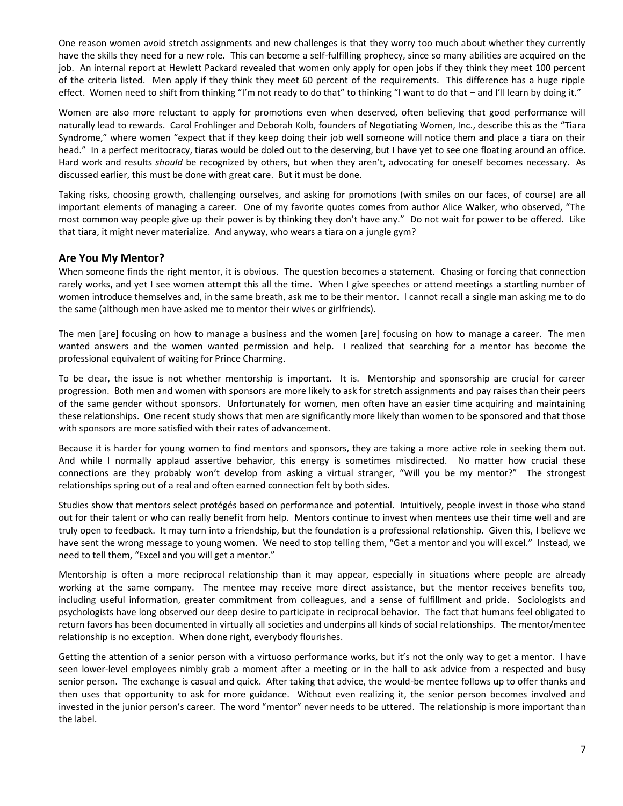One reason women avoid stretch assignments and new challenges is that they worry too much about whether they currently have the skills they need for a new role. This can become a self-fulfilling prophecy, since so many abilities are acquired on the job. An internal report at Hewlett Packard revealed that women only apply for open jobs if they think they meet 100 percent of the criteria listed. Men apply if they think they meet 60 percent of the requirements. This difference has a huge ripple effect. Women need to shift from thinking "I'm not ready to do that" to thinking "I want to do that – and I'll learn by doing it."

Women are also more reluctant to apply for promotions even when deserved, often believing that good performance will naturally lead to rewards. Carol Frohlinger and Deborah Kolb, founders of Negotiating Women, Inc., describe this as the "Tiara Syndrome," where women "expect that if they keep doing their job well someone will notice them and place a tiara on their head." In a perfect meritocracy, tiaras would be doled out to the deserving, but I have yet to see one floating around an office. Hard work and results *should* be recognized by others, but when they aren't, advocating for oneself becomes necessary. As discussed earlier, this must be done with great care. But it must be done.

Taking risks, choosing growth, challenging ourselves, and asking for promotions (with smiles on our faces, of course) are all important elements of managing a career. One of my favorite quotes comes from author Alice Walker, who observed, "The most common way people give up their power is by thinking they don't have any." Do not wait for power to be offered. Like that tiara, it might never materialize. And anyway, who wears a tiara on a jungle gym?

# **Are You My Mentor?**

When someone finds the right mentor, it is obvious. The question becomes a statement. Chasing or forcing that connection rarely works, and yet I see women attempt this all the time. When I give speeches or attend meetings a startling number of women introduce themselves and, in the same breath, ask me to be their mentor. I cannot recall a single man asking me to do the same (although men have asked me to mentor their wives or girlfriends).

The men [are] focusing on how to manage a business and the women [are] focusing on how to manage a career. The men wanted answers and the women wanted permission and help. I realized that searching for a mentor has become the professional equivalent of waiting for Prince Charming.

To be clear, the issue is not whether mentorship is important. It is. Mentorship and sponsorship are crucial for career progression. Both men and women with sponsors are more likely to ask for stretch assignments and pay raises than their peers of the same gender without sponsors. Unfortunately for women, men often have an easier time acquiring and maintaining these relationships. One recent study shows that men are significantly more likely than women to be sponsored and that those with sponsors are more satisfied with their rates of advancement.

Because it is harder for young women to find mentors and sponsors, they are taking a more active role in seeking them out. And while I normally applaud assertive behavior, this energy is sometimes misdirected. No matter how crucial these connections are they probably won't develop from asking a virtual stranger, "Will you be my mentor?" The strongest relationships spring out of a real and often earned connection felt by both sides.

Studies show that mentors select protégés based on performance and potential. Intuitively, people invest in those who stand out for their talent or who can really benefit from help. Mentors continue to invest when mentees use their time well and are truly open to feedback. It may turn into a friendship, but the foundation is a professional relationship. Given this, I believe we have sent the wrong message to young women. We need to stop telling them, "Get a mentor and you will excel." Instead, we need to tell them, "Excel and you will get a mentor."

Mentorship is often a more reciprocal relationship than it may appear, especially in situations where people are already working at the same company. The mentee may receive more direct assistance, but the mentor receives benefits too, including useful information, greater commitment from colleagues, and a sense of fulfillment and pride. Sociologists and psychologists have long observed our deep desire to participate in reciprocal behavior. The fact that humans feel obligated to return favors has been documented in virtually all societies and underpins all kinds of social relationships. The mentor/mentee relationship is no exception. When done right, everybody flourishes.

Getting the attention of a senior person with a virtuoso performance works, but it's not the only way to get a mentor. I have seen lower-level employees nimbly grab a moment after a meeting or in the hall to ask advice from a respected and busy senior person. The exchange is casual and quick. After taking that advice, the would-be mentee follows up to offer thanks and then uses that opportunity to ask for more guidance. Without even realizing it, the senior person becomes involved and invested in the junior person's career. The word "mentor" never needs to be uttered. The relationship is more important than the label.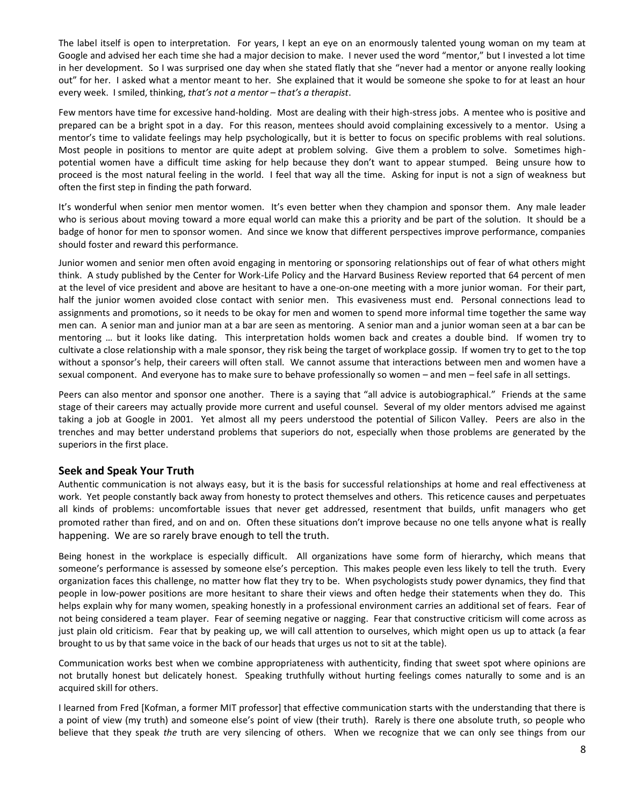The label itself is open to interpretation. For years, I kept an eye on an enormously talented young woman on my team at Google and advised her each time she had a major decision to make. I never used the word "mentor," but I invested a lot time in her development. So I was surprised one day when she stated flatly that she "never had a mentor or anyone really looking out" for her. I asked what a mentor meant to her. She explained that it would be someone she spoke to for at least an hour every week. I smiled, thinking, *that's not a mentor – that's a therapist*.

Few mentors have time for excessive hand-holding. Most are dealing with their high-stress jobs. A mentee who is positive and prepared can be a bright spot in a day. For this reason, mentees should avoid complaining excessively to a mentor. Using a mentor's time to validate feelings may help psychologically, but it is better to focus on specific problems with real solutions. Most people in positions to mentor are quite adept at problem solving. Give them a problem to solve. Sometimes highpotential women have a difficult time asking for help because they don't want to appear stumped. Being unsure how to proceed is the most natural feeling in the world. I feel that way all the time. Asking for input is not a sign of weakness but often the first step in finding the path forward.

It's wonderful when senior men mentor women. It's even better when they champion and sponsor them. Any male leader who is serious about moving toward a more equal world can make this a priority and be part of the solution. It should be a badge of honor for men to sponsor women. And since we know that different perspectives improve performance, companies should foster and reward this performance.

Junior women and senior men often avoid engaging in mentoring or sponsoring relationships out of fear of what others might think. A study published by the Center for Work-Life Policy and the Harvard Business Review reported that 64 percent of men at the level of vice president and above are hesitant to have a one-on-one meeting with a more junior woman. For their part, half the junior women avoided close contact with senior men. This evasiveness must end. Personal connections lead to assignments and promotions, so it needs to be okay for men and women to spend more informal time together the same way men can. A senior man and junior man at a bar are seen as mentoring. A senior man and a junior woman seen at a bar can be mentoring … but it looks like dating. This interpretation holds women back and creates a double bind. If women try to cultivate a close relationship with a male sponsor, they risk being the target of workplace gossip. If women try to get to the top without a sponsor's help, their careers will often stall. We cannot assume that interactions between men and women have a sexual component. And everyone has to make sure to behave professionally so women – and men – feel safe in all settings.

Peers can also mentor and sponsor one another. There is a saying that "all advice is autobiographical." Friends at the same stage of their careers may actually provide more current and useful counsel. Several of my older mentors advised me against taking a job at Google in 2001. Yet almost all my peers understood the potential of Silicon Valley. Peers are also in the trenches and may better understand problems that superiors do not, especially when those problems are generated by the superiors in the first place.

#### **Seek and Speak Your Truth**

Authentic communication is not always easy, but it is the basis for successful relationships at home and real effectiveness at work. Yet people constantly back away from honesty to protect themselves and others. This reticence causes and perpetuates all kinds of problems: uncomfortable issues that never get addressed, resentment that builds, unfit managers who get promoted rather than fired, and on and on. Often these situations don't improve because no one tells anyone what is really happening. We are so rarely brave enough to tell the truth.

Being honest in the workplace is especially difficult. All organizations have some form of hierarchy, which means that someone's performance is assessed by someone else's perception. This makes people even less likely to tell the truth. Every organization faces this challenge, no matter how flat they try to be. When psychologists study power dynamics, they find that people in low-power positions are more hesitant to share their views and often hedge their statements when they do. This helps explain why for many women, speaking honestly in a professional environment carries an additional set of fears. Fear of not being considered a team player. Fear of seeming negative or nagging. Fear that constructive criticism will come across as just plain old criticism. Fear that by peaking up, we will call attention to ourselves, which might open us up to attack (a fear brought to us by that same voice in the back of our heads that urges us not to sit at the table).

Communication works best when we combine appropriateness with authenticity, finding that sweet spot where opinions are not brutally honest but delicately honest. Speaking truthfully without hurting feelings comes naturally to some and is an acquired skill for others.

I learned from Fred [Kofman, a former MIT professor] that effective communication starts with the understanding that there is a point of view (my truth) and someone else's point of view (their truth). Rarely is there one absolute truth, so people who believe that they speak *the* truth are very silencing of others. When we recognize that we can only see things from our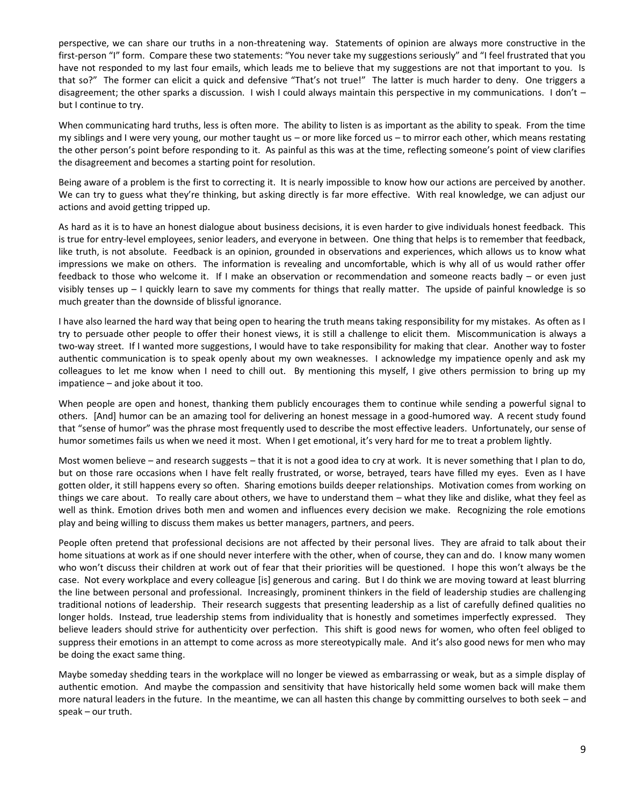perspective, we can share our truths in a non-threatening way. Statements of opinion are always more constructive in the first-person "I" form. Compare these two statements: "You never take my suggestions seriously" and "I feel frustrated that you have not responded to my last four emails, which leads me to believe that my suggestions are not that important to you. Is that so?" The former can elicit a quick and defensive "That's not true!" The latter is much harder to deny. One triggers a disagreement; the other sparks a discussion. I wish I could always maintain this perspective in my communications. I don't – but I continue to try.

When communicating hard truths, less is often more. The ability to listen is as important as the ability to speak. From the time my siblings and I were very young, our mother taught us – or more like forced us – to mirror each other, which means restating the other person's point before responding to it. As painful as this was at the time, reflecting someone's point of view clarifies the disagreement and becomes a starting point for resolution.

Being aware of a problem is the first to correcting it. It is nearly impossible to know how our actions are perceived by another. We can try to guess what they're thinking, but asking directly is far more effective. With real knowledge, we can adjust our actions and avoid getting tripped up.

As hard as it is to have an honest dialogue about business decisions, it is even harder to give individuals honest feedback. This is true for entry-level employees, senior leaders, and everyone in between. One thing that helps is to remember that feedback, like truth, is not absolute. Feedback is an opinion, grounded in observations and experiences, which allows us to know what impressions we make on others. The information is revealing and uncomfortable, which is why all of us would rather offer feedback to those who welcome it. If I make an observation or recommendation and someone reacts badly – or even just visibly tenses up – I quickly learn to save my comments for things that really matter. The upside of painful knowledge is so much greater than the downside of blissful ignorance.

I have also learned the hard way that being open to hearing the truth means taking responsibility for my mistakes. As often as I try to persuade other people to offer their honest views, it is still a challenge to elicit them. Miscommunication is always a two-way street. If I wanted more suggestions, I would have to take responsibility for making that clear. Another way to foster authentic communication is to speak openly about my own weaknesses. I acknowledge my impatience openly and ask my colleagues to let me know when I need to chill out. By mentioning this myself, I give others permission to bring up my impatience – and joke about it too.

When people are open and honest, thanking them publicly encourages them to continue while sending a powerful signal to others. [And] humor can be an amazing tool for delivering an honest message in a good-humored way. A recent study found that "sense of humor" was the phrase most frequently used to describe the most effective leaders. Unfortunately, our sense of humor sometimes fails us when we need it most. When I get emotional, it's very hard for me to treat a problem lightly.

Most women believe – and research suggests – that it is not a good idea to cry at work. It is never something that I plan to do, but on those rare occasions when I have felt really frustrated, or worse, betrayed, tears have filled my eyes. Even as I have gotten older, it still happens every so often. Sharing emotions builds deeper relationships. Motivation comes from working on things we care about. To really care about others, we have to understand them – what they like and dislike, what they feel as well as think. Emotion drives both men and women and influences every decision we make. Recognizing the role emotions play and being willing to discuss them makes us better managers, partners, and peers.

People often pretend that professional decisions are not affected by their personal lives. They are afraid to talk about their home situations at work as if one should never interfere with the other, when of course, they can and do. I know many women who won't discuss their children at work out of fear that their priorities will be questioned. I hope this won't always be the case. Not every workplace and every colleague [is] generous and caring. But I do think we are moving toward at least blurring the line between personal and professional. Increasingly, prominent thinkers in the field of leadership studies are challenging traditional notions of leadership. Their research suggests that presenting leadership as a list of carefully defined qualities no longer holds. Instead, true leadership stems from individuality that is honestly and sometimes imperfectly expressed. They believe leaders should strive for authenticity over perfection. This shift is good news for women, who often feel obliged to suppress their emotions in an attempt to come across as more stereotypically male. And it's also good news for men who may be doing the exact same thing.

Maybe someday shedding tears in the workplace will no longer be viewed as embarrassing or weak, but as a simple display of authentic emotion. And maybe the compassion and sensitivity that have historically held some women back will make them more natural leaders in the future. In the meantime, we can all hasten this change by committing ourselves to both seek – and speak – our truth.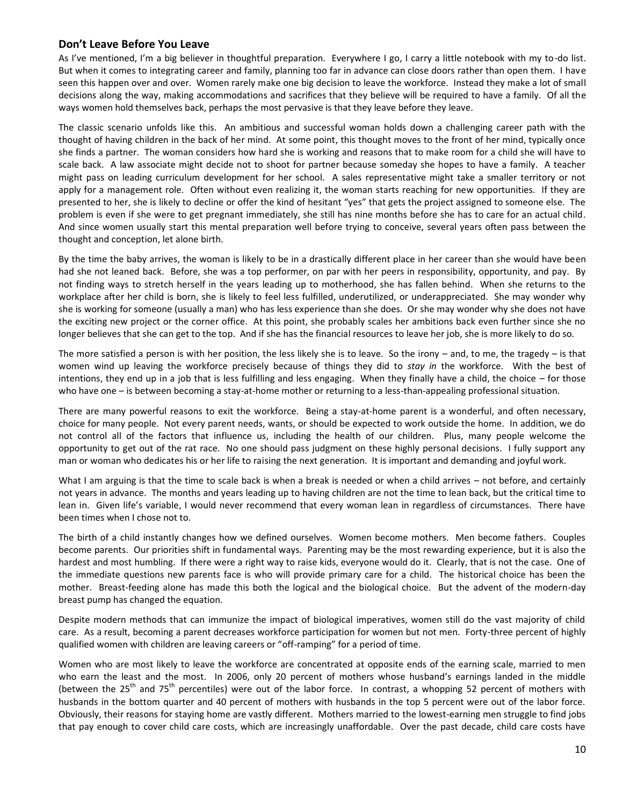## **Don't Leave Before You Leave**

As I've mentioned, I'm a big believer in thoughtful preparation. Everywhere I go, I carry a little notebook with my to-do list. But when it comes to integrating career and family, planning too far in advance can close doors rather than open them. I have seen this happen over and over. Women rarely make one big decision to leave the workforce. Instead they make a lot of small decisions along the way, making accommodations and sacrifices that they believe will be required to have a family. Of all the ways women hold themselves back, perhaps the most pervasive is that they leave before they leave.

The classic scenario unfolds like this. An ambitious and successful woman holds down a challenging career path with the thought of having children in the back of her mind. At some point, this thought moves to the front of her mind, typically once she finds a partner. The woman considers how hard she is working and reasons that to make room for a child she will have to scale back. A law associate might decide not to shoot for partner because someday she hopes to have a family. A teacher might pass on leading curriculum development for her school. A sales representative might take a smaller territory or not apply for a management role. Often without even realizing it, the woman starts reaching for new opportunities. If they are presented to her, she is likely to decline or offer the kind of hesitant "yes" that gets the project assigned to someone else. The problem is even if she were to get pregnant immediately, she still has nine months before she has to care for an actual child. And since women usually start this mental preparation well before trying to conceive, several years often pass between the thought and conception, let alone birth.

By the time the baby arrives, the woman is likely to be in a drastically different place in her career than she would have been had she not leaned back. Before, she was a top performer, on par with her peers in responsibility, opportunity, and pay. By not finding ways to stretch herself in the years leading up to motherhood, she has fallen behind. When she returns to the workplace after her child is born, she is likely to feel less fulfilled, underutilized, or underappreciated. She may wonder why she is working for someone (usually a man) who has less experience than she does. Or she may wonder why she does not have the exciting new project or the corner office. At this point, she probably scales her ambitions back even further since she no longer believes that she can get to the top. And if she has the financial resources to leave her job, she is more likely to do so.

The more satisfied a person is with her position, the less likely she is to leave. So the irony – and, to me, the tragedy – is that women wind up leaving the workforce precisely because of things they did to *stay in* the workforce. With the best of intentions, they end up in a job that is less fulfilling and less engaging. When they finally have a child, the choice – for those who have one – is between becoming a stay-at-home mother or returning to a less-than-appealing professional situation.

There are many powerful reasons to exit the workforce. Being a stay-at-home parent is a wonderful, and often necessary, choice for many people. Not every parent needs, wants, or should be expected to work outside the home. In addition, we do not control all of the factors that influence us, including the health of our children. Plus, many people welcome the opportunity to get out of the rat race. No one should pass judgment on these highly personal decisions. I fully support any man or woman who dedicates his or her life to raising the next generation. It is important and demanding and joyful work.

What I am arguing is that the time to scale back is when a break is needed or when a child arrives – not before, and certainly not years in advance. The months and years leading up to having children are not the time to lean back, but the critical time to lean in. Given life's variable, I would never recommend that every woman lean in regardless of circumstances. There have been times when I chose not to.

The birth of a child instantly changes how we defined ourselves. Women become mothers. Men become fathers. Couples become parents. Our priorities shift in fundamental ways. Parenting may be the most rewarding experience, but it is also the hardest and most humbling. If there were a right way to raise kids, everyone would do it. Clearly, that is not the case. One of the immediate questions new parents face is who will provide primary care for a child. The historical choice has been the mother. Breast-feeding alone has made this both the logical and the biological choice. But the advent of the modern-day breast pump has changed the equation.

Despite modern methods that can immunize the impact of biological imperatives, women still do the vast majority of child care. As a result, becoming a parent decreases workforce participation for women but not men. Forty-three percent of highly qualified women with children are leaving careers or "off-ramping" for a period of time.

Women who are most likely to leave the workforce are concentrated at opposite ends of the earning scale, married to men who earn the least and the most. In 2006, only 20 percent of mothers whose husband's earnings landed in the middle (between the  $25^{th}$  and  $75^{th}$  percentiles) were out of the labor force. In contrast, a whopping 52 percent of mothers with husbands in the bottom quarter and 40 percent of mothers with husbands in the top 5 percent were out of the labor force. Obviously, their reasons for staying home are vastly different. Mothers married to the lowest-earning men struggle to find jobs that pay enough to cover child care costs, which are increasingly unaffordable. Over the past decade, child care costs have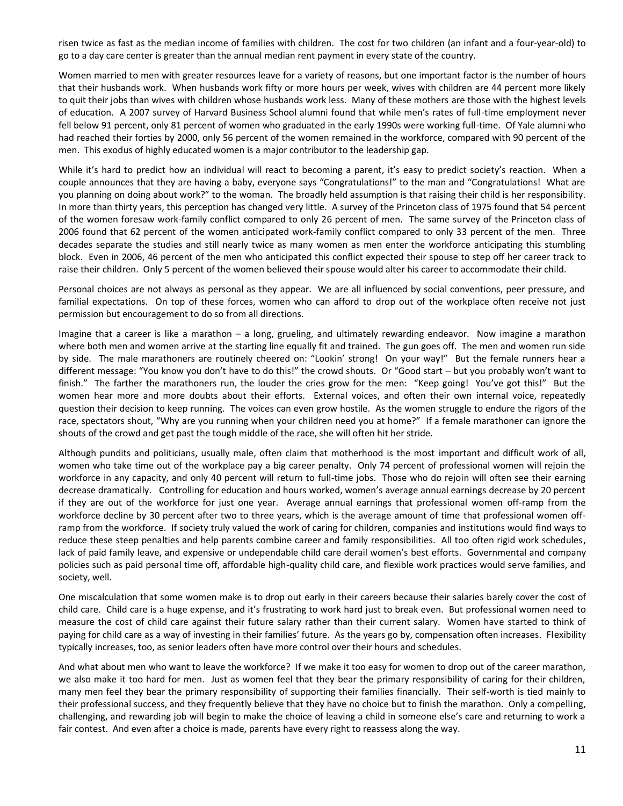risen twice as fast as the median income of families with children. The cost for two children (an infant and a four-year-old) to go to a day care center is greater than the annual median rent payment in every state of the country.

Women married to men with greater resources leave for a variety of reasons, but one important factor is the number of hours that their husbands work. When husbands work fifty or more hours per week, wives with children are 44 percent more likely to quit their jobs than wives with children whose husbands work less. Many of these mothers are those with the highest levels of education. A 2007 survey of Harvard Business School alumni found that while men's rates of full-time employment never fell below 91 percent, only 81 percent of women who graduated in the early 1990s were working full-time. Of Yale alumni who had reached their forties by 2000, only 56 percent of the women remained in the workforce, compared with 90 percent of the men. This exodus of highly educated women is a major contributor to the leadership gap.

While it's hard to predict how an individual will react to becoming a parent, it's easy to predict society's reaction. When a couple announces that they are having a baby, everyone says "Congratulations!" to the man and "Congratulations! What are you planning on doing about work?" to the woman. The broadly held assumption is that raising their child is her responsibility. In more than thirty years, this perception has changed very little. A survey of the Princeton class of 1975 found that 54 percent of the women foresaw work-family conflict compared to only 26 percent of men. The same survey of the Princeton class of 2006 found that 62 percent of the women anticipated work-family conflict compared to only 33 percent of the men. Three decades separate the studies and still nearly twice as many women as men enter the workforce anticipating this stumbling block. Even in 2006, 46 percent of the men who anticipated this conflict expected their spouse to step off her career track to raise their children. Only 5 percent of the women believed their spouse would alter his career to accommodate their child.

Personal choices are not always as personal as they appear. We are all influenced by social conventions, peer pressure, and familial expectations. On top of these forces, women who can afford to drop out of the workplace often receive not just permission but encouragement to do so from all directions.

Imagine that a career is like a marathon – a long, grueling, and ultimately rewarding endeavor. Now imagine a marathon where both men and women arrive at the starting line equally fit and trained. The gun goes off. The men and women run side by side. The male marathoners are routinely cheered on: "Lookin' strong! On your way!" But the female runners hear a different message: "You know you don't have to do this!" the crowd shouts. Or "Good start – but you probably won't want to finish." The farther the marathoners run, the louder the cries grow for the men: "Keep going! You've got this!" But the women hear more and more doubts about their efforts. External voices, and often their own internal voice, repeatedly question their decision to keep running. The voices can even grow hostile. As the women struggle to endure the rigors of the race, spectators shout, "Why are you running when your children need you at home?" If a female marathoner can ignore the shouts of the crowd and get past the tough middle of the race, she will often hit her stride.

Although pundits and politicians, usually male, often claim that motherhood is the most important and difficult work of all, women who take time out of the workplace pay a big career penalty. Only 74 percent of professional women will rejoin the workforce in any capacity, and only 40 percent will return to full-time jobs. Those who do rejoin will often see their earning decrease dramatically. Controlling for education and hours worked, women's average annual earnings decrease by 20 percent if they are out of the workforce for just one year. Average annual earnings that professional women off-ramp from the workforce decline by 30 percent after two to three years, which is the average amount of time that professional women offramp from the workforce. If society truly valued the work of caring for children, companies and institutions would find ways to reduce these steep penalties and help parents combine career and family responsibilities. All too often rigid work schedules, lack of paid family leave, and expensive or undependable child care derail women's best efforts. Governmental and company policies such as paid personal time off, affordable high-quality child care, and flexible work practices would serve families, and society, well.

One miscalculation that some women make is to drop out early in their careers because their salaries barely cover the cost of child care. Child care is a huge expense, and it's frustrating to work hard just to break even. But professional women need to measure the cost of child care against their future salary rather than their current salary. Women have started to think of paying for child care as a way of investing in their families' future. As the years go by, compensation often increases. Flexibility typically increases, too, as senior leaders often have more control over their hours and schedules.

And what about men who want to leave the workforce? If we make it too easy for women to drop out of the career marathon, we also make it too hard for men. Just as women feel that they bear the primary responsibility of caring for their children, many men feel they bear the primary responsibility of supporting their families financially. Their self-worth is tied mainly to their professional success, and they frequently believe that they have no choice but to finish the marathon. Only a compelling, challenging, and rewarding job will begin to make the choice of leaving a child in someone else's care and returning to work a fair contest. And even after a choice is made, parents have every right to reassess along the way.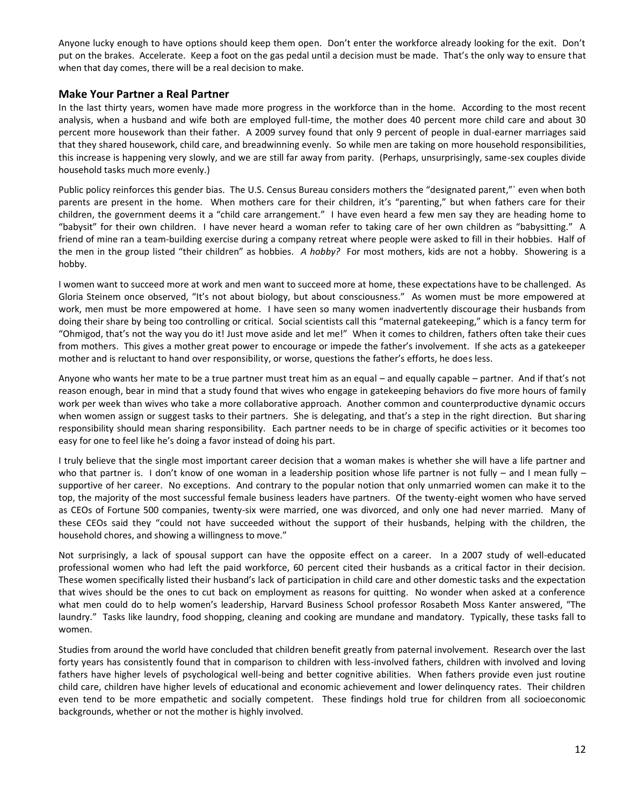Anyone lucky enough to have options should keep them open. Don't enter the workforce already looking for the exit. Don't put on the brakes. Accelerate. Keep a foot on the gas pedal until a decision must be made. That's the only way to ensure that when that day comes, there will be a real decision to make.

#### **Make Your Partner a Real Partner**

In the last thirty years, women have made more progress in the workforce than in the home. According to the most recent analysis, when a husband and wife both are employed full-time, the mother does 40 percent more child care and about 30 percent more housework than their father. A 2009 survey found that only 9 percent of people in dual-earner marriages said that they shared housework, child care, and breadwinning evenly. So while men are taking on more household responsibilities, this increase is happening very slowly, and we are still far away from parity. (Perhaps, unsurprisingly, same-sex couples divide household tasks much more evenly.)

Public policy reinforces this gender bias. The U.S. Census Bureau considers mothers the "designated parent,"` even when both parents are present in the home. When mothers care for their children, it's "parenting," but when fathers care for their children, the government deems it a "child care arrangement." I have even heard a few men say they are heading home to "babysit" for their own children. I have never heard a woman refer to taking care of her own children as "babysitting." A friend of mine ran a team-building exercise during a company retreat where people were asked to fill in their hobbies. Half of the men in the group listed "their children" as hobbies. *A hobby?* For most mothers, kids are not a hobby. Showering is a hobby.

I women want to succeed more at work and men want to succeed more at home, these expectations have to be challenged. As Gloria Steinem once observed, "It's not about biology, but about consciousness." As women must be more empowered at work, men must be more empowered at home. I have seen so many women inadvertently discourage their husbands from doing their share by being too controlling or critical. Social scientists call this "maternal gatekeeping," which is a fancy term for "Ohmigod, that's not the way you do it! Just move aside and let me!" When it comes to children, fathers often take their cues from mothers. This gives a mother great power to encourage or impede the father's involvement. If she acts as a gatekeeper mother and is reluctant to hand over responsibility, or worse, questions the father's efforts, he does less.

Anyone who wants her mate to be a true partner must treat him as an equal – and equally capable – partner. And if that's not reason enough, bear in mind that a study found that wives who engage in gatekeeping behaviors do five more hours of family work per week than wives who take a more collaborative approach. Another common and counterproductive dynamic occurs when women assign or suggest tasks to their partners. She is delegating, and that's a step in the right direction. But sharing responsibility should mean sharing responsibility. Each partner needs to be in charge of specific activities or it becomes too easy for one to feel like he's doing a favor instead of doing his part.

I truly believe that the single most important career decision that a woman makes is whether she will have a life partner and who that partner is. I don't know of one woman in a leadership position whose life partner is not fully – and I mean fully – supportive of her career. No exceptions. And contrary to the popular notion that only unmarried women can make it to the top, the majority of the most successful female business leaders have partners. Of the twenty-eight women who have served as CEOs of Fortune 500 companies, twenty-six were married, one was divorced, and only one had never married. Many of these CEOs said they "could not have succeeded without the support of their husbands, helping with the children, the household chores, and showing a willingness to move."

Not surprisingly, a lack of spousal support can have the opposite effect on a career. In a 2007 study of well-educated professional women who had left the paid workforce, 60 percent cited their husbands as a critical factor in their decision. These women specifically listed their husband's lack of participation in child care and other domestic tasks and the expectation that wives should be the ones to cut back on employment as reasons for quitting. No wonder when asked at a conference what men could do to help women's leadership, Harvard Business School professor Rosabeth Moss Kanter answered, "The laundry." Tasks like laundry, food shopping, cleaning and cooking are mundane and mandatory. Typically, these tasks fall to women.

Studies from around the world have concluded that children benefit greatly from paternal involvement. Research over the last forty years has consistently found that in comparison to children with less-involved fathers, children with involved and loving fathers have higher levels of psychological well-being and better cognitive abilities. When fathers provide even just routine child care, children have higher levels of educational and economic achievement and lower delinquency rates. Their children even tend to be more empathetic and socially competent. These findings hold true for children from all socioeconomic backgrounds, whether or not the mother is highly involved.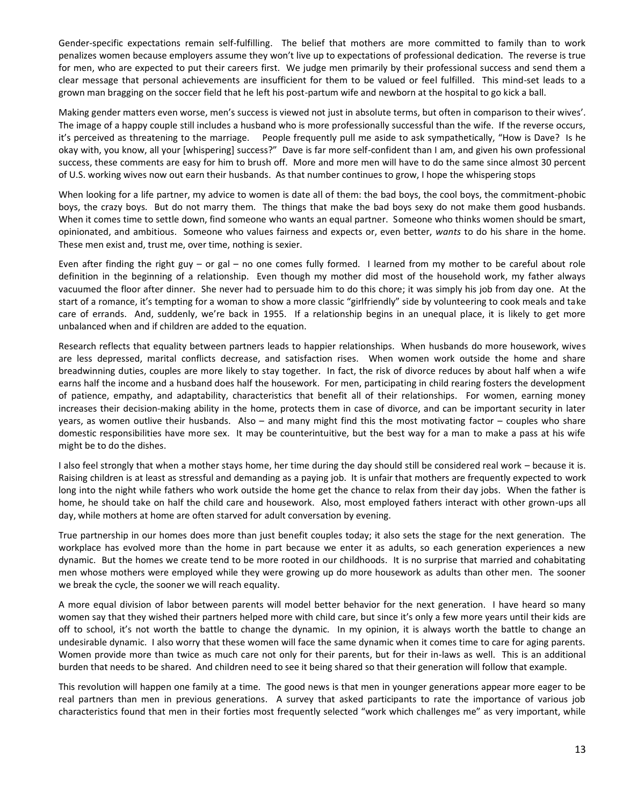Gender-specific expectations remain self-fulfilling. The belief that mothers are more committed to family than to work penalizes women because employers assume they won't live up to expectations of professional dedication. The reverse is true for men, who are expected to put their careers first. We judge men primarily by their professional success and send them a clear message that personal achievements are insufficient for them to be valued or feel fulfilled. This mind-set leads to a grown man bragging on the soccer field that he left his post-partum wife and newborn at the hospital to go kick a ball.

Making gender matters even worse, men's success is viewed not just in absolute terms, but often in comparison to their wives'. The image of a happy couple still includes a husband who is more professionally successful than the wife. If the reverse occurs, it's perceived as threatening to the marriage. People frequently pull me aside to ask sympathetically, "How is Dave? Is he okay with, you know, all your [whispering] success?" Dave is far more self-confident than I am, and given his own professional success, these comments are easy for him to brush off. More and more men will have to do the same since almost 30 percent of U.S. working wives now out earn their husbands. As that number continues to grow, I hope the whispering stops

When looking for a life partner, my advice to women is date all of them: the bad boys, the cool boys, the commitment-phobic boys, the crazy boys. But do not marry them. The things that make the bad boys sexy do not make them good husbands. When it comes time to settle down, find someone who wants an equal partner. Someone who thinks women should be smart, opinionated, and ambitious. Someone who values fairness and expects or, even better, *wants* to do his share in the home. These men exist and, trust me, over time, nothing is sexier.

Even after finding the right guy – or gal – no one comes fully formed. I learned from my mother to be careful about role definition in the beginning of a relationship. Even though my mother did most of the household work, my father always vacuumed the floor after dinner. She never had to persuade him to do this chore; it was simply his job from day one. At the start of a romance, it's tempting for a woman to show a more classic "girlfriendly" side by volunteering to cook meals and take care of errands. And, suddenly, we're back in 1955. If a relationship begins in an unequal place, it is likely to get more unbalanced when and if children are added to the equation.

Research reflects that equality between partners leads to happier relationships. When husbands do more housework, wives are less depressed, marital conflicts decrease, and satisfaction rises. When women work outside the home and share breadwinning duties, couples are more likely to stay together. In fact, the risk of divorce reduces by about half when a wife earns half the income and a husband does half the housework. For men, participating in child rearing fosters the development of patience, empathy, and adaptability, characteristics that benefit all of their relationships. For women, earning money increases their decision-making ability in the home, protects them in case of divorce, and can be important security in later years, as women outlive their husbands. Also – and many might find this the most motivating factor – couples who share domestic responsibilities have more sex. It may be counterintuitive, but the best way for a man to make a pass at his wife might be to do the dishes.

I also feel strongly that when a mother stays home, her time during the day should still be considered real work – because it is. Raising children is at least as stressful and demanding as a paying job. It is unfair that mothers are frequently expected to work long into the night while fathers who work outside the home get the chance to relax from their day jobs. When the father is home, he should take on half the child care and housework. Also, most employed fathers interact with other grown-ups all day, while mothers at home are often starved for adult conversation by evening.

True partnership in our homes does more than just benefit couples today; it also sets the stage for the next generation. The workplace has evolved more than the home in part because we enter it as adults, so each generation experiences a new dynamic. But the homes we create tend to be more rooted in our childhoods. It is no surprise that married and cohabitating men whose mothers were employed while they were growing up do more housework as adults than other men. The sooner we break the cycle, the sooner we will reach equality.

A more equal division of labor between parents will model better behavior for the next generation. I have heard so many women say that they wished their partners helped more with child care, but since it's only a few more years until their kids are off to school, it's not worth the battle to change the dynamic. In my opinion, it is always worth the battle to change an undesirable dynamic. I also worry that these women will face the same dynamic when it comes time to care for aging parents. Women provide more than twice as much care not only for their parents, but for their in-laws as well. This is an additional burden that needs to be shared. And children need to see it being shared so that their generation will follow that example.

This revolution will happen one family at a time. The good news is that men in younger generations appear more eager to be real partners than men in previous generations. A survey that asked participants to rate the importance of various job characteristics found that men in their forties most frequently selected "work which challenges me" as very important, while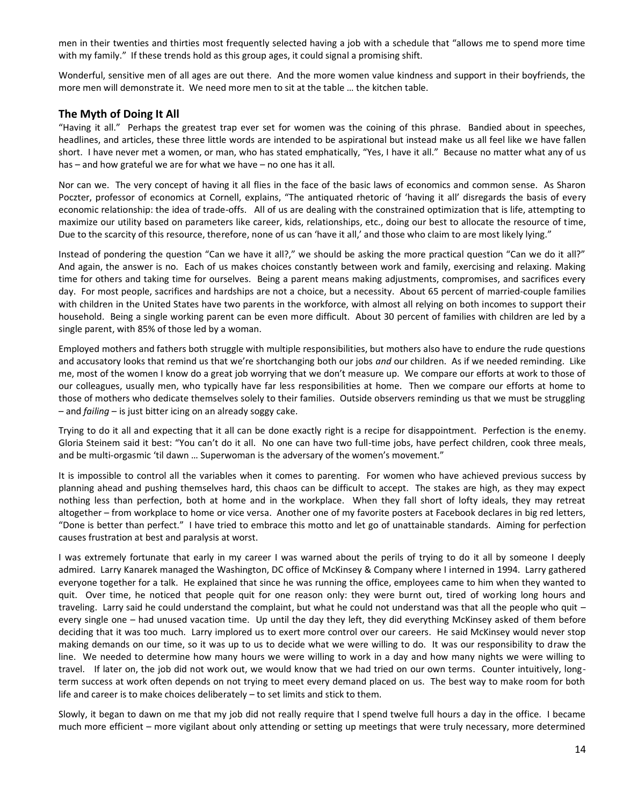men in their twenties and thirties most frequently selected having a job with a schedule that "allows me to spend more time with my family." If these trends hold as this group ages, it could signal a promising shift.

Wonderful, sensitive men of all ages are out there. And the more women value kindness and support in their boyfriends, the more men will demonstrate it. We need more men to sit at the table … the kitchen table.

## **The Myth of Doing It All**

"Having it all." Perhaps the greatest trap ever set for women was the coining of this phrase. Bandied about in speeches, headlines, and articles, these three little words are intended to be aspirational but instead make us all feel like we have fallen short. I have never met a women, or man, who has stated emphatically, "Yes, I have it all." Because no matter what any of us has – and how grateful we are for what we have – no one has it all.

Nor can we. The very concept of having it all flies in the face of the basic laws of economics and common sense. As Sharon Poczter, professor of economics at Cornell, explains, "The antiquated rhetoric of 'having it all' disregards the basis of every economic relationship: the idea of trade-offs. All of us are dealing with the constrained optimization that is life, attempting to maximize our utility based on parameters like career, kids, relationships, etc., doing our best to allocate the resource of time, Due to the scarcity of this resource, therefore, none of us can 'have it all,' and those who claim to are most likely lying."

Instead of pondering the question "Can we have it all?," we should be asking the more practical question "Can we do it all?" And again, the answer is no. Each of us makes choices constantly between work and family, exercising and relaxing. Making time for others and taking time for ourselves. Being a parent means making adjustments, compromises, and sacrifices every day. For most people, sacrifices and hardships are not a choice, but a necessity. About 65 percent of married-couple families with children in the United States have two parents in the workforce, with almost all relying on both incomes to support their household. Being a single working parent can be even more difficult. About 30 percent of families with children are led by a single parent, with 85% of those led by a woman.

Employed mothers and fathers both struggle with multiple responsibilities, but mothers also have to endure the rude questions and accusatory looks that remind us that we're shortchanging both our jobs *and* our children. As if we needed reminding. Like me, most of the women I know do a great job worrying that we don't measure up. We compare our efforts at work to those of our colleagues, usually men, who typically have far less responsibilities at home. Then we compare our efforts at home to those of mothers who dedicate themselves solely to their families. Outside observers reminding us that we must be struggling – and *failing* – is just bitter icing on an already soggy cake.

Trying to do it all and expecting that it all can be done exactly right is a recipe for disappointment. Perfection is the enemy. Gloria Steinem said it best: "You can't do it all. No one can have two full-time jobs, have perfect children, cook three meals, and be multi-orgasmic 'til dawn … Superwoman is the adversary of the women's movement."

It is impossible to control all the variables when it comes to parenting. For women who have achieved previous success by planning ahead and pushing themselves hard, this chaos can be difficult to accept. The stakes are high, as they may expect nothing less than perfection, both at home and in the workplace. When they fall short of lofty ideals, they may retreat altogether – from workplace to home or vice versa. Another one of my favorite posters at Facebook declares in big red letters, "Done is better than perfect." I have tried to embrace this motto and let go of unattainable standards. Aiming for perfection causes frustration at best and paralysis at worst.

I was extremely fortunate that early in my career I was warned about the perils of trying to do it all by someone I deeply admired. Larry Kanarek managed the Washington, DC office of McKinsey & Company where I interned in 1994. Larry gathered everyone together for a talk. He explained that since he was running the office, employees came to him when they wanted to quit. Over time, he noticed that people quit for one reason only: they were burnt out, tired of working long hours and traveling. Larry said he could understand the complaint, but what he could not understand was that all the people who quit – every single one – had unused vacation time. Up until the day they left, they did everything McKinsey asked of them before deciding that it was too much. Larry implored us to exert more control over our careers. He said McKinsey would never stop making demands on our time, so it was up to us to decide what we were willing to do. It was our responsibility to draw the line. We needed to determine how many hours we were willing to work in a day and how many nights we were willing to travel. If later on, the job did not work out, we would know that we had tried on our own terms. Counter intuitively, longterm success at work often depends on not trying to meet every demand placed on us. The best way to make room for both life and career is to make choices deliberately – to set limits and stick to them.

Slowly, it began to dawn on me that my job did not really require that I spend twelve full hours a day in the office. I became much more efficient – more vigilant about only attending or setting up meetings that were truly necessary, more determined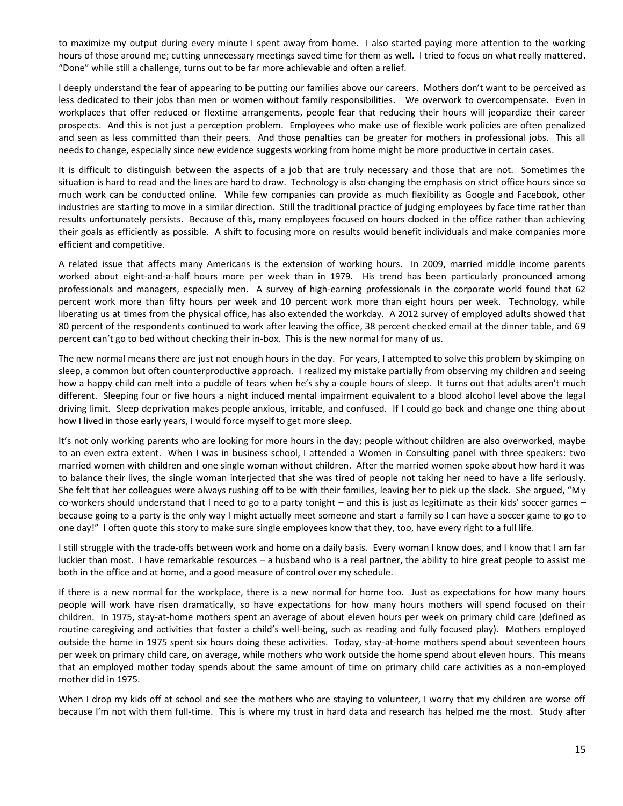to maximize my output during every minute I spent away from home. I also started paying more attention to the working hours of those around me; cutting unnecessary meetings saved time for them as well. I tried to focus on what really mattered. "Done" while still a challenge, turns out to be far more achievable and often a relief.

I deeply understand the fear of appearing to be putting our families above our careers. Mothers don't want to be perceived as less dedicated to their jobs than men or women without family responsibilities. We overwork to overcompensate. Even in workplaces that offer reduced or flextime arrangements, people fear that reducing their hours will jeopardize their career prospects. And this is not just a perception problem. Employees who make use of flexible work policies are often penalized and seen as less committed than their peers. And those penalties can be greater for mothers in professional jobs. This all needs to change, especially since new evidence suggests working from home might be more productive in certain cases.

It is difficult to distinguish between the aspects of a job that are truly necessary and those that are not. Sometimes the situation is hard to read and the lines are hard to draw. Technology is also changing the emphasis on strict office hours since so much work can be conducted online. While few companies can provide as much flexibility as Google and Facebook, other industries are starting to move in a similar direction. Still the traditional practice of judging employees by face time rather than results unfortunately persists. Because of this, many employees focused on hours clocked in the office rather than achieving their goals as efficiently as possible. A shift to focusing more on results would benefit individuals and make companies more efficient and competitive.

A related issue that affects many Americans is the extension of working hours. In 2009, married middle income parents worked about eight-and-a-half hours more per week than in 1979. His trend has been particularly pronounced among professionals and managers, especially men. A survey of high-earning professionals in the corporate world found that 62 percent work more than fifty hours per week and 10 percent work more than eight hours per week. Technology, while liberating us at times from the physical office, has also extended the workday. A 2012 survey of employed adults showed that 80 percent of the respondents continued to work after leaving the office, 38 percent checked email at the dinner table, and 69 percent can't go to bed without checking their in-box. This is the new normal for many of us.

The new normal means there are just not enough hours in the day. For years, I attempted to solve this problem by skimping on sleep, a common but often counterproductive approach. I realized my mistake partially from observing my children and seeing how a happy child can melt into a puddle of tears when he's shy a couple hours of sleep. It turns out that adults aren't much different. Sleeping four or five hours a night induced mental impairment equivalent to a blood alcohol level above the legal driving limit. Sleep deprivation makes people anxious, irritable, and confused. If I could go back and change one thing about how I lived in those early years, I would force myself to get more sleep.

It's not only working parents who are looking for more hours in the day; people without children are also overworked, maybe to an even extra extent. When I was in business school, I attended a Women in Consulting panel with three speakers: two married women with children and one single woman without children. After the married women spoke about how hard it was to balance their lives, the single woman interjected that she was tired of people not taking her need to have a life seriously. She felt that her colleagues were always rushing off to be with their families, leaving her to pick up the slack. She argued, "My co-workers should understand that I need to go to a party tonight – and this is just as legitimate as their kids' soccer games – because going to a party is the only way I might actually meet someone and start a family so I can have a soccer game to go to one day!" I often quote this story to make sure single employees know that they, too, have every right to a full life.

I still struggle with the trade-offs between work and home on a daily basis. Every woman I know does, and I know that I am far luckier than most. I have remarkable resources – a husband who is a real partner, the ability to hire great people to assist me both in the office and at home, and a good measure of control over my schedule.

If there is a new normal for the workplace, there is a new normal for home too. Just as expectations for how many hours people will work have risen dramatically, so have expectations for how many hours mothers will spend focused on their children. In 1975, stay-at-home mothers spent an average of about eleven hours per week on primary child care (defined as routine caregiving and activities that foster a child's well-being, such as reading and fully focused play). Mothers employed outside the home in 1975 spent six hours doing these activities. Today, stay-at-home mothers spend about seventeen hours per week on primary child care, on average, while mothers who work outside the home spend about eleven hours. This means that an employed mother today spends about the same amount of time on primary child care activities as a non-employed mother did in 1975.

When I drop my kids off at school and see the mothers who are staying to volunteer, I worry that my children are worse off because I'm not with them full-time. This is where my trust in hard data and research has helped me the most. Study after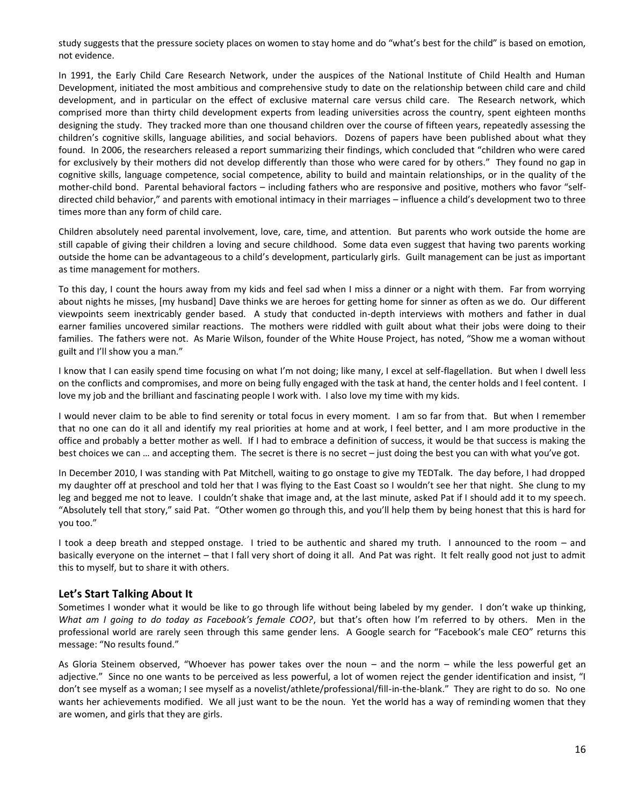study suggests that the pressure society places on women to stay home and do "what's best for the child" is based on emotion, not evidence.

In 1991, the Early Child Care Research Network, under the auspices of the National Institute of Child Health and Human Development, initiated the most ambitious and comprehensive study to date on the relationship between child care and child development, and in particular on the effect of exclusive maternal care versus child care. The Research network, which comprised more than thirty child development experts from leading universities across the country, spent eighteen months designing the study. They tracked more than one thousand children over the course of fifteen years, repeatedly assessing the children's cognitive skills, language abilities, and social behaviors. Dozens of papers have been published about what they found. In 2006, the researchers released a report summarizing their findings, which concluded that "children who were cared for exclusively by their mothers did not develop differently than those who were cared for by others." They found no gap in cognitive skills, language competence, social competence, ability to build and maintain relationships, or in the quality of the mother-child bond. Parental behavioral factors – including fathers who are responsive and positive, mothers who favor "selfdirected child behavior," and parents with emotional intimacy in their marriages – influence a child's development two to three times more than any form of child care.

Children absolutely need parental involvement, love, care, time, and attention. But parents who work outside the home are still capable of giving their children a loving and secure childhood. Some data even suggest that having two parents working outside the home can be advantageous to a child's development, particularly girls. Guilt management can be just as important as time management for mothers.

To this day, I count the hours away from my kids and feel sad when I miss a dinner or a night with them. Far from worrying about nights he misses, [my husband] Dave thinks we are heroes for getting home for sinner as often as we do. Our different viewpoints seem inextricably gender based. A study that conducted in-depth interviews with mothers and father in dual earner families uncovered similar reactions. The mothers were riddled with guilt about what their jobs were doing to their families. The fathers were not. As Marie Wilson, founder of the White House Project, has noted, "Show me a woman without guilt and I'll show you a man."

I know that I can easily spend time focusing on what I'm not doing; like many, I excel at self-flagellation. But when I dwell less on the conflicts and compromises, and more on being fully engaged with the task at hand, the center holds and I feel content. I love my job and the brilliant and fascinating people I work with. I also love my time with my kids.

I would never claim to be able to find serenity or total focus in every moment. I am so far from that. But when I remember that no one can do it all and identify my real priorities at home and at work, I feel better, and I am more productive in the office and probably a better mother as well. If I had to embrace a definition of success, it would be that success is making the best choices we can … and accepting them. The secret is there is no secret – just doing the best you can with what you've got.

In December 2010, I was standing with Pat Mitchell, waiting to go onstage to give my TEDTalk. The day before, I had dropped my daughter off at preschool and told her that I was flying to the East Coast so I wouldn't see her that night. She clung to my leg and begged me not to leave. I couldn't shake that image and, at the last minute, asked Pat if I should add it to my speech. "Absolutely tell that story," said Pat. "Other women go through this, and you'll help them by being honest that this is hard for you too."

I took a deep breath and stepped onstage. I tried to be authentic and shared my truth. I announced to the room – and basically everyone on the internet – that I fall very short of doing it all. And Pat was right. It felt really good not just to admit this to myself, but to share it with others.

#### **Let's Start Talking About It**

Sometimes I wonder what it would be like to go through life without being labeled by my gender. I don't wake up thinking, *What am I going to do today as Facebook's female COO?*, but that's often how I'm referred to by others. Men in the professional world are rarely seen through this same gender lens. A Google search for "Facebook's male CEO" returns this message: "No results found."

As Gloria Steinem observed, "Whoever has power takes over the noun – and the norm – while the less powerful get an adjective." Since no one wants to be perceived as less powerful, a lot of women reject the gender identification and insist, "I don't see myself as a woman; I see myself as a novelist/athlete/professional/fill-in-the-blank." They are right to do so. No one wants her achievements modified. We all just want to be the noun. Yet the world has a way of reminding women that they are women, and girls that they are girls.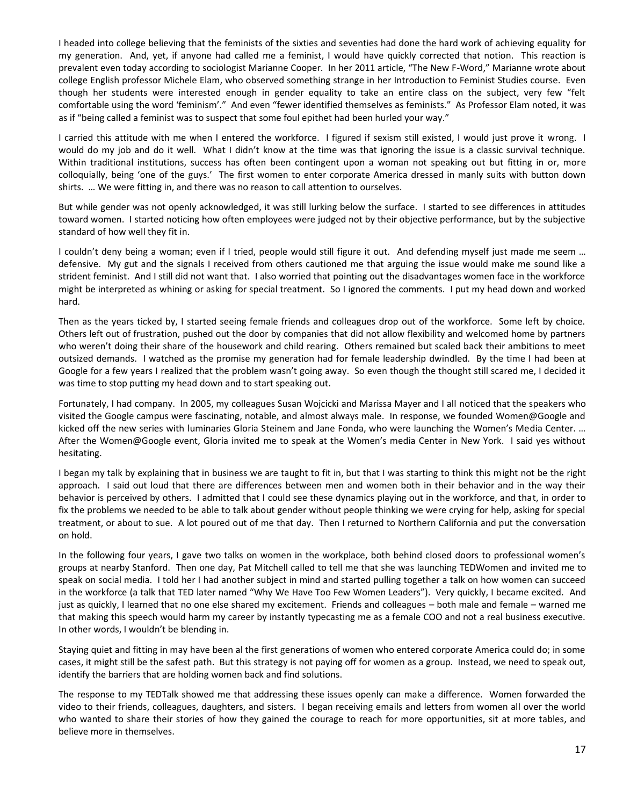I headed into college believing that the feminists of the sixties and seventies had done the hard work of achieving equality for my generation. And, yet, if anyone had called me a feminist, I would have quickly corrected that notion. This reaction is prevalent even today according to sociologist Marianne Cooper. In her 2011 article, "The New F-Word," Marianne wrote about college English professor Michele Elam, who observed something strange in her Introduction to Feminist Studies course. Even though her students were interested enough in gender equality to take an entire class on the subject, very few "felt comfortable using the word 'feminism'." And even "fewer identified themselves as feminists." As Professor Elam noted, it was as if "being called a feminist was to suspect that some foul epithet had been hurled your way."

I carried this attitude with me when I entered the workforce. I figured if sexism still existed, I would just prove it wrong. I would do my job and do it well. What I didn't know at the time was that ignoring the issue is a classic survival technique. Within traditional institutions, success has often been contingent upon a woman not speaking out but fitting in or, more colloquially, being 'one of the guys.' The first women to enter corporate America dressed in manly suits with button down shirts. … We were fitting in, and there was no reason to call attention to ourselves.

But while gender was not openly acknowledged, it was still lurking below the surface. I started to see differences in attitudes toward women. I started noticing how often employees were judged not by their objective performance, but by the subjective standard of how well they fit in.

I couldn't deny being a woman; even if I tried, people would still figure it out. And defending myself just made me seem … defensive. My gut and the signals I received from others cautioned me that arguing the issue would make me sound like a strident feminist. And I still did not want that. I also worried that pointing out the disadvantages women face in the workforce might be interpreted as whining or asking for special treatment. So I ignored the comments. I put my head down and worked hard.

Then as the years ticked by, I started seeing female friends and colleagues drop out of the workforce. Some left by choice. Others left out of frustration, pushed out the door by companies that did not allow flexibility and welcomed home by partners who weren't doing their share of the housework and child rearing. Others remained but scaled back their ambitions to meet outsized demands. I watched as the promise my generation had for female leadership dwindled. By the time I had been at Google for a few years I realized that the problem wasn't going away. So even though the thought still scared me, I decided it was time to stop putting my head down and to start speaking out.

Fortunately, I had company. In 2005, my colleagues Susan Wojcicki and Marissa Mayer and I all noticed that the speakers who visited the Google campus were fascinating, notable, and almost always male. In response, we founded Women@Google and kicked off the new series with luminaries Gloria Steinem and Jane Fonda, who were launching the Women's Media Center. … After the Women@Google event, Gloria invited me to speak at the Women's media Center in New York. I said yes without hesitating.

I began my talk by explaining that in business we are taught to fit in, but that I was starting to think this might not be the right approach. I said out loud that there are differences between men and women both in their behavior and in the way their behavior is perceived by others. I admitted that I could see these dynamics playing out in the workforce, and that, in order to fix the problems we needed to be able to talk about gender without people thinking we were crying for help, asking for special treatment, or about to sue. A lot poured out of me that day. Then I returned to Northern California and put the conversation on hold.

In the following four years, I gave two talks on women in the workplace, both behind closed doors to professional women's groups at nearby Stanford. Then one day, Pat Mitchell called to tell me that she was launching TEDWomen and invited me to speak on social media. I told her I had another subject in mind and started pulling together a talk on how women can succeed in the workforce (a talk that TED later named "Why We Have Too Few Women Leaders"). Very quickly, I became excited. And just as quickly, I learned that no one else shared my excitement. Friends and colleagues – both male and female – warned me that making this speech would harm my career by instantly typecasting me as a female COO and not a real business executive. In other words, I wouldn't be blending in.

Staying quiet and fitting in may have been al the first generations of women who entered corporate America could do; in some cases, it might still be the safest path. But this strategy is not paying off for women as a group. Instead, we need to speak out, identify the barriers that are holding women back and find solutions.

The response to my TEDTalk showed me that addressing these issues openly can make a difference. Women forwarded the video to their friends, colleagues, daughters, and sisters. I began receiving emails and letters from women all over the world who wanted to share their stories of how they gained the courage to reach for more opportunities, sit at more tables, and believe more in themselves.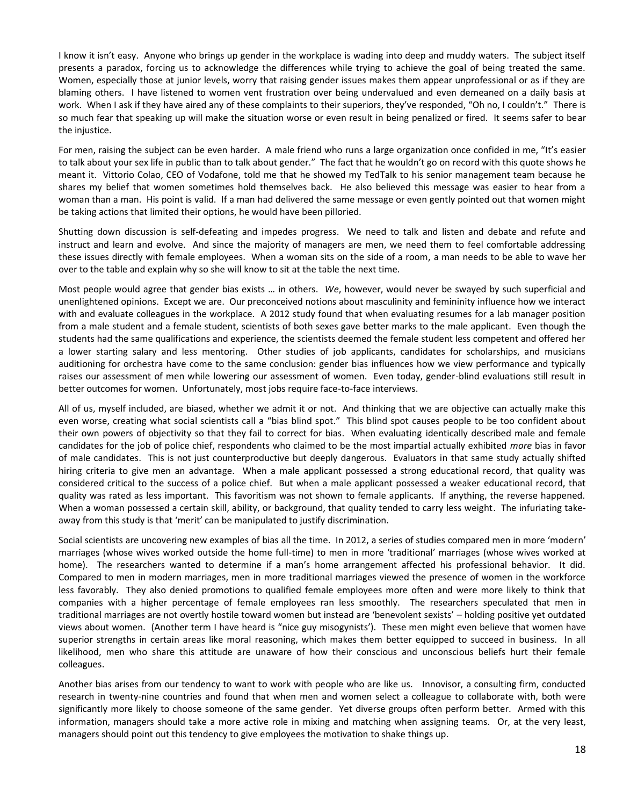I know it isn't easy. Anyone who brings up gender in the workplace is wading into deep and muddy waters. The subject itself presents a paradox, forcing us to acknowledge the differences while trying to achieve the goal of being treated the same. Women, especially those at junior levels, worry that raising gender issues makes them appear unprofessional or as if they are blaming others. I have listened to women vent frustration over being undervalued and even demeaned on a daily basis at work. When I ask if they have aired any of these complaints to their superiors, they've responded, "Oh no, I couldn't." There is so much fear that speaking up will make the situation worse or even result in being penalized or fired. It seems safer to bear the injustice.

For men, raising the subject can be even harder. A male friend who runs a large organization once confided in me, "It's easier to talk about your sex life in public than to talk about gender." The fact that he wouldn't go on record with this quote shows he meant it. Vittorio Colao, CEO of Vodafone, told me that he showed my TedTalk to his senior management team because he shares my belief that women sometimes hold themselves back. He also believed this message was easier to hear from a woman than a man. His point is valid. If a man had delivered the same message or even gently pointed out that women might be taking actions that limited their options, he would have been pilloried.

Shutting down discussion is self-defeating and impedes progress. We need to talk and listen and debate and refute and instruct and learn and evolve. And since the majority of managers are men, we need them to feel comfortable addressing these issues directly with female employees. When a woman sits on the side of a room, a man needs to be able to wave her over to the table and explain why so she will know to sit at the table the next time.

Most people would agree that gender bias exists … in others. *We*, however, would never be swayed by such superficial and unenlightened opinions. Except we are. Our preconceived notions about masculinity and femininity influence how we interact with and evaluate colleagues in the workplace. A 2012 study found that when evaluating resumes for a lab manager position from a male student and a female student, scientists of both sexes gave better marks to the male applicant. Even though the students had the same qualifications and experience, the scientists deemed the female student less competent and offered her a lower starting salary and less mentoring. Other studies of job applicants, candidates for scholarships, and musicians auditioning for orchestra have come to the same conclusion: gender bias influences how we view performance and typically raises our assessment of men while lowering our assessment of women. Even today, gender-blind evaluations still result in better outcomes for women. Unfortunately, most jobs require face-to-face interviews.

All of us, myself included, are biased, whether we admit it or not. And thinking that we are objective can actually make this even worse, creating what social scientists call a "bias blind spot." This blind spot causes people to be too confident about their own powers of objectivity so that they fail to correct for bias. When evaluating identically described male and female candidates for the job of police chief, respondents who claimed to be the most impartial actually exhibited *more* bias in favor of male candidates. This is not just counterproductive but deeply dangerous. Evaluators in that same study actually shifted hiring criteria to give men an advantage. When a male applicant possessed a strong educational record, that quality was considered critical to the success of a police chief. But when a male applicant possessed a weaker educational record, that quality was rated as less important. This favoritism was not shown to female applicants. If anything, the reverse happened. When a woman possessed a certain skill, ability, or background, that quality tended to carry less weight. The infuriating takeaway from this study is that 'merit' can be manipulated to justify discrimination.

Social scientists are uncovering new examples of bias all the time. In 2012, a series of studies compared men in more 'modern' marriages (whose wives worked outside the home full-time) to men in more 'traditional' marriages (whose wives worked at home). The researchers wanted to determine if a man's home arrangement affected his professional behavior. It did. Compared to men in modern marriages, men in more traditional marriages viewed the presence of women in the workforce less favorably. They also denied promotions to qualified female employees more often and were more likely to think that companies with a higher percentage of female employees ran less smoothly. The researchers speculated that men in traditional marriages are not overtly hostile toward women but instead are 'benevolent sexists' – holding positive yet outdated views about women. (Another term I have heard is "nice guy misogynists'). These men might even believe that women have superior strengths in certain areas like moral reasoning, which makes them better equipped to succeed in business. In all likelihood, men who share this attitude are unaware of how their conscious and unconscious beliefs hurt their female colleagues.

Another bias arises from our tendency to want to work with people who are like us. Innovisor, a consulting firm, conducted research in twenty-nine countries and found that when men and women select a colleague to collaborate with, both were significantly more likely to choose someone of the same gender. Yet diverse groups often perform better. Armed with this information, managers should take a more active role in mixing and matching when assigning teams. Or, at the very least, managers should point out this tendency to give employees the motivation to shake things up.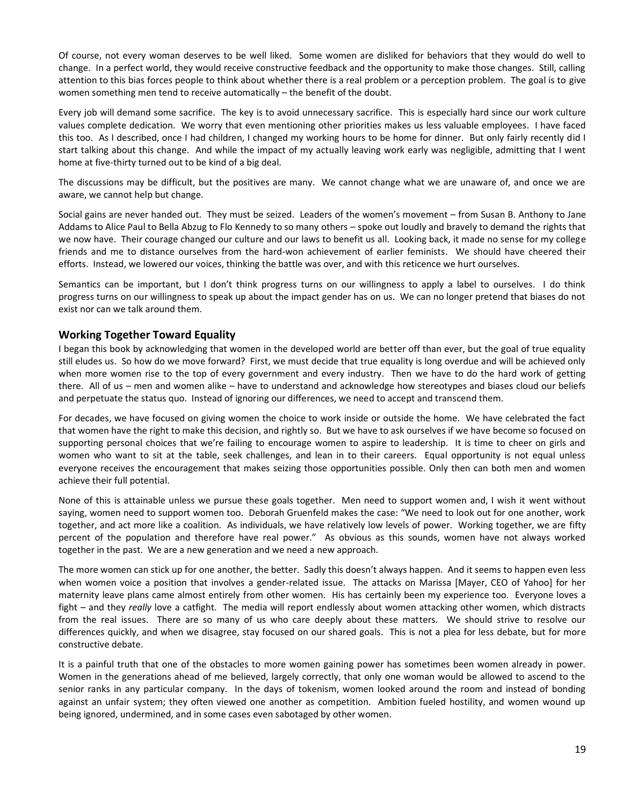Of course, not every woman deserves to be well liked. Some women are disliked for behaviors that they would do well to change. In a perfect world, they would receive constructive feedback and the opportunity to make those changes. Still, calling attention to this bias forces people to think about whether there is a real problem or a perception problem. The goal is to give women something men tend to receive automatically – the benefit of the doubt.

Every job will demand some sacrifice. The key is to avoid unnecessary sacrifice. This is especially hard since our work culture values complete dedication. We worry that even mentioning other priorities makes us less valuable employees. I have faced this too. As I described, once I had children, I changed my working hours to be home for dinner. But only fairly recently did I start talking about this change. And while the impact of my actually leaving work early was negligible, admitting that I went home at five-thirty turned out to be kind of a big deal.

The discussions may be difficult, but the positives are many. We cannot change what we are unaware of, and once we are aware, we cannot help but change.

Social gains are never handed out. They must be seized. Leaders of the women's movement – from Susan B. Anthony to Jane Addams to Alice Paul to Bella Abzug to Flo Kennedy to so many others – spoke out loudly and bravely to demand the rights that we now have. Their courage changed our culture and our laws to benefit us all. Looking back, it made no sense for my college friends and me to distance ourselves from the hard-won achievement of earlier feminists. We should have cheered their efforts. Instead, we lowered our voices, thinking the battle was over, and with this reticence we hurt ourselves.

Semantics can be important, but I don't think progress turns on our willingness to apply a label to ourselves. I do think progress turns on our willingness to speak up about the impact gender has on us. We can no longer pretend that biases do not exist nor can we talk around them.

#### **Working Together Toward Equality**

I began this book by acknowledging that women in the developed world are better off than ever, but the goal of true equality still eludes us. So how do we move forward? First, we must decide that true equality is long overdue and will be achieved only when more women rise to the top of every government and every industry. Then we have to do the hard work of getting there. All of us – men and women alike – have to understand and acknowledge how stereotypes and biases cloud our beliefs and perpetuate the status quo. Instead of ignoring our differences, we need to accept and transcend them.

For decades, we have focused on giving women the choice to work inside or outside the home. We have celebrated the fact that women have the right to make this decision, and rightly so. But we have to ask ourselves if we have become so focused on supporting personal choices that we're failing to encourage women to aspire to leadership. It is time to cheer on girls and women who want to sit at the table, seek challenges, and lean in to their careers. Equal opportunity is not equal unless everyone receives the encouragement that makes seizing those opportunities possible. Only then can both men and women achieve their full potential.

None of this is attainable unless we pursue these goals together. Men need to support women and, I wish it went without saying, women need to support women too. Deborah Gruenfeld makes the case: "We need to look out for one another, work together, and act more like a coalition. As individuals, we have relatively low levels of power. Working together, we are fifty percent of the population and therefore have real power." As obvious as this sounds, women have not always worked together in the past. We are a new generation and we need a new approach.

The more women can stick up for one another, the better. Sadly this doesn't always happen. And it seems to happen even less when women voice a position that involves a gender-related issue. The attacks on Marissa [Mayer, CEO of Yahoo] for her maternity leave plans came almost entirely from other women. His has certainly been my experience too. Everyone loves a fight – and they *really* love a catfight. The media will report endlessly about women attacking other women, which distracts from the real issues. There are so many of us who care deeply about these matters. We should strive to resolve our differences quickly, and when we disagree, stay focused on our shared goals. This is not a plea for less debate, but for more constructive debate.

It is a painful truth that one of the obstacles to more women gaining power has sometimes been women already in power. Women in the generations ahead of me believed, largely correctly, that only one woman would be allowed to ascend to the senior ranks in any particular company. In the days of tokenism, women looked around the room and instead of bonding against an unfair system; they often viewed one another as competition. Ambition fueled hostility, and women wound up being ignored, undermined, and in some cases even sabotaged by other women.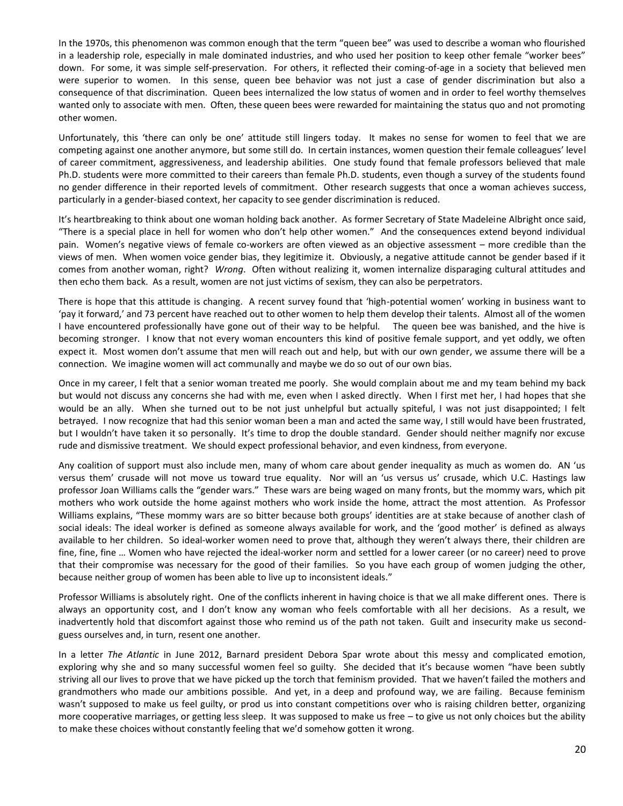In the 1970s, this phenomenon was common enough that the term "queen bee" was used to describe a woman who flourished in a leadership role, especially in male dominated industries, and who used her position to keep other female "worker bees" down. For some, it was simple self-preservation. For others, it reflected their coming-of-age in a society that believed men were superior to women. In this sense, queen bee behavior was not just a case of gender discrimination but also a consequence of that discrimination. Queen bees internalized the low status of women and in order to feel worthy themselves wanted only to associate with men. Often, these queen bees were rewarded for maintaining the status quo and not promoting other women.

Unfortunately, this 'there can only be one' attitude still lingers today. It makes no sense for women to feel that we are competing against one another anymore, but some still do. In certain instances, women question their female colleagues' level of career commitment, aggressiveness, and leadership abilities. One study found that female professors believed that male Ph.D. students were more committed to their careers than female Ph.D. students, even though a survey of the students found no gender difference in their reported levels of commitment. Other research suggests that once a woman achieves success, particularly in a gender-biased context, her capacity to see gender discrimination is reduced.

It's heartbreaking to think about one woman holding back another. As former Secretary of State Madeleine Albright once said, "There is a special place in hell for women who don't help other women." And the consequences extend beyond individual pain. Women's negative views of female co-workers are often viewed as an objective assessment – more credible than the views of men. When women voice gender bias, they legitimize it. Obviously, a negative attitude cannot be gender based if it comes from another woman, right? *Wrong*. Often without realizing it, women internalize disparaging cultural attitudes and then echo them back. As a result, women are not just victims of sexism, they can also be perpetrators.

There is hope that this attitude is changing. A recent survey found that 'high-potential women' working in business want to 'pay it forward,' and 73 percent have reached out to other women to help them develop their talents. Almost all of the women I have encountered professionally have gone out of their way to be helpful. The queen bee was banished, and the hive is becoming stronger. I know that not every woman encounters this kind of positive female support, and yet oddly, we often expect it. Most women don't assume that men will reach out and help, but with our own gender, we assume there will be a connection. We imagine women will act communally and maybe we do so out of our own bias.

Once in my career, I felt that a senior woman treated me poorly. She would complain about me and my team behind my back but would not discuss any concerns she had with me, even when I asked directly. When I first met her, I had hopes that she would be an ally. When she turned out to be not just unhelpful but actually spiteful, I was not just disappointed; I felt betrayed. I now recognize that had this senior woman been a man and acted the same way, I still would have been frustrated, but I wouldn't have taken it so personally. It's time to drop the double standard. Gender should neither magnify nor excuse rude and dismissive treatment. We should expect professional behavior, and even kindness, from everyone.

Any coalition of support must also include men, many of whom care about gender inequality as much as women do. AN 'us versus them' crusade will not move us toward true equality. Nor will an 'us versus us' crusade, which U.C. Hastings law professor Joan Williams calls the "gender wars." These wars are being waged on many fronts, but the mommy wars, which pit mothers who work outside the home against mothers who work inside the home, attract the most attention. As Professor Williams explains, "These mommy wars are so bitter because both groups' identities are at stake because of another clash of social ideals: The ideal worker is defined as someone always available for work, and the 'good mother' is defined as always available to her children. So ideal-worker women need to prove that, although they weren't always there, their children are fine, fine, fine … Women who have rejected the ideal-worker norm and settled for a lower career (or no career) need to prove that their compromise was necessary for the good of their families. So you have each group of women judging the other, because neither group of women has been able to live up to inconsistent ideals."

Professor Williams is absolutely right. One of the conflicts inherent in having choice is that we all make different ones. There is always an opportunity cost, and I don't know any woman who feels comfortable with all her decisions. As a result, we inadvertently hold that discomfort against those who remind us of the path not taken. Guilt and insecurity make us secondguess ourselves and, in turn, resent one another.

In a letter *The Atlantic* in June 2012, Barnard president Debora Spar wrote about this messy and complicated emotion, exploring why she and so many successful women feel so guilty. She decided that it's because women "have been subtly striving all our lives to prove that we have picked up the torch that feminism provided. That we haven't failed the mothers and grandmothers who made our ambitions possible. And yet, in a deep and profound way, we are failing. Because feminism wasn't supposed to make us feel guilty, or prod us into constant competitions over who is raising children better, organizing more cooperative marriages, or getting less sleep. It was supposed to make us free – to give us not only choices but the ability to make these choices without constantly feeling that we'd somehow gotten it wrong.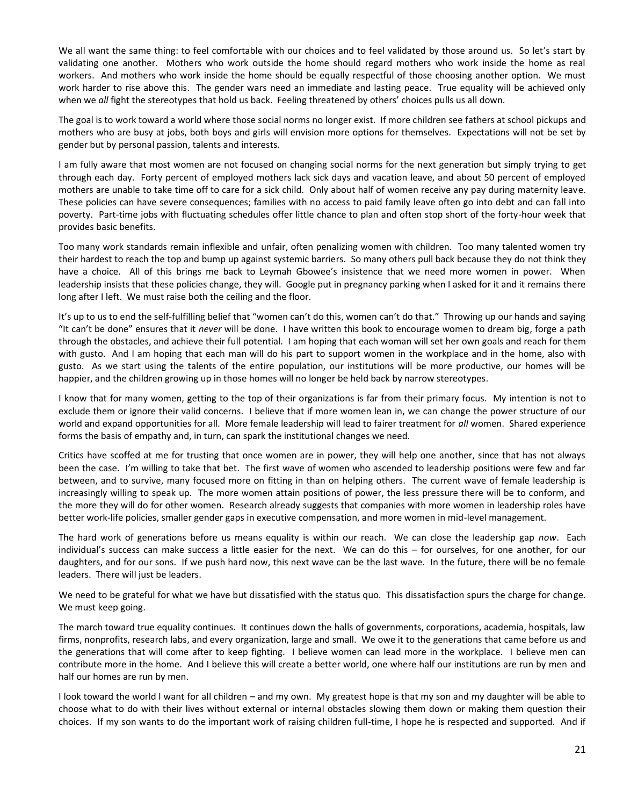We all want the same thing: to feel comfortable with our choices and to feel validated by those around us. So let's start by validating one another. Mothers who work outside the home should regard mothers who work inside the home as real workers. And mothers who work inside the home should be equally respectful of those choosing another option. We must work harder to rise above this. The gender wars need an immediate and lasting peace. True equality will be achieved only when we *all* fight the stereotypes that hold us back. Feeling threatened by others' choices pulls us all down.

The goal is to work toward a world where those social norms no longer exist. If more children see fathers at school pickups and mothers who are busy at jobs, both boys and girls will envision more options for themselves. Expectations will not be set by gender but by personal passion, talents and interests.

I am fully aware that most women are not focused on changing social norms for the next generation but simply trying to get through each day. Forty percent of employed mothers lack sick days and vacation leave, and about 50 percent of employed mothers are unable to take time off to care for a sick child. Only about half of women receive any pay during maternity leave. These policies can have severe consequences; families with no access to paid family leave often go into debt and can fall into poverty. Part-time jobs with fluctuating schedules offer little chance to plan and often stop short of the forty-hour week that provides basic benefits.

Too many work standards remain inflexible and unfair, often penalizing women with children. Too many talented women try their hardest to reach the top and bump up against systemic barriers. So many others pull back because they do not think they have a choice. All of this brings me back to Leymah Gbowee's insistence that we need more women in power. When leadership insists that these policies change, they will. Google put in pregnancy parking when I asked for it and it remains there long after I left. We must raise both the ceiling and the floor.

It's up to us to end the self-fulfilling belief that "women can't do this, women can't do that." Throwing up our hands and saying "It can't be done" ensures that it *never* will be done. I have written this book to encourage women to dream big, forge a path through the obstacles, and achieve their full potential. I am hoping that each woman will set her own goals and reach for them with gusto. And I am hoping that each man will do his part to support women in the workplace and in the home, also with gusto. As we start using the talents of the entire population, our institutions will be more productive, our homes will be happier, and the children growing up in those homes will no longer be held back by narrow stereotypes.

I know that for many women, getting to the top of their organizations is far from their primary focus. My intention is not to exclude them or ignore their valid concerns. I believe that if more women lean in, we can change the power structure of our world and expand opportunities for all. More female leadership will lead to fairer treatment for *all* women. Shared experience forms the basis of empathy and, in turn, can spark the institutional changes we need.

Critics have scoffed at me for trusting that once women are in power, they will help one another, since that has not always been the case. I'm willing to take that bet. The first wave of women who ascended to leadership positions were few and far between, and to survive, many focused more on fitting in than on helping others. The current wave of female leadership is increasingly willing to speak up. The more women attain positions of power, the less pressure there will be to conform, and the more they will do for other women. Research already suggests that companies with more women in leadership roles have better work-life policies, smaller gender gaps in executive compensation, and more women in mid-level management.

The hard work of generations before us means equality is within our reach. We can close the leadership gap *now*. Each individual's success can make success a little easier for the next. We can do this – for ourselves, for one another, for our daughters, and for our sons. If we push hard now, this next wave can be the last wave. In the future, there will be no female leaders. There will just be leaders.

We need to be grateful for what we have but dissatisfied with the status quo. This dissatisfaction spurs the charge for change. We must keep going.

The march toward true equality continues. It continues down the halls of governments, corporations, academia, hospitals, law firms, nonprofits, research labs, and every organization, large and small. We owe it to the generations that came before us and the generations that will come after to keep fighting. I believe women can lead more in the workplace. I believe men can contribute more in the home. And I believe this will create a better world, one where half our institutions are run by men and half our homes are run by men.

I look toward the world I want for all children – and my own. My greatest hope is that my son and my daughter will be able to choose what to do with their lives without external or internal obstacles slowing them down or making them question their choices. If my son wants to do the important work of raising children full-time, I hope he is respected and supported. And if